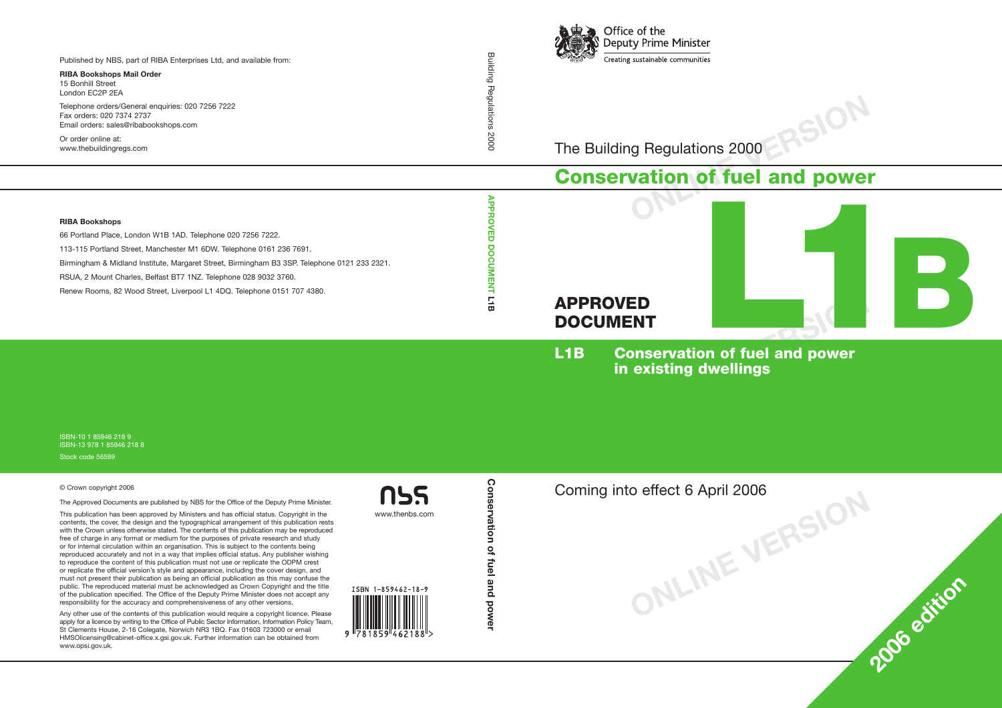

The Building Regulations 2000

# **Conservation of fuel and power**



**ONLINE VERSION**

**<sup>2006</sup> edition**

**L1B Conservation of fuel and power in existing dwellings**

**ONLINE VERSION** Coming into effect 6 April 2006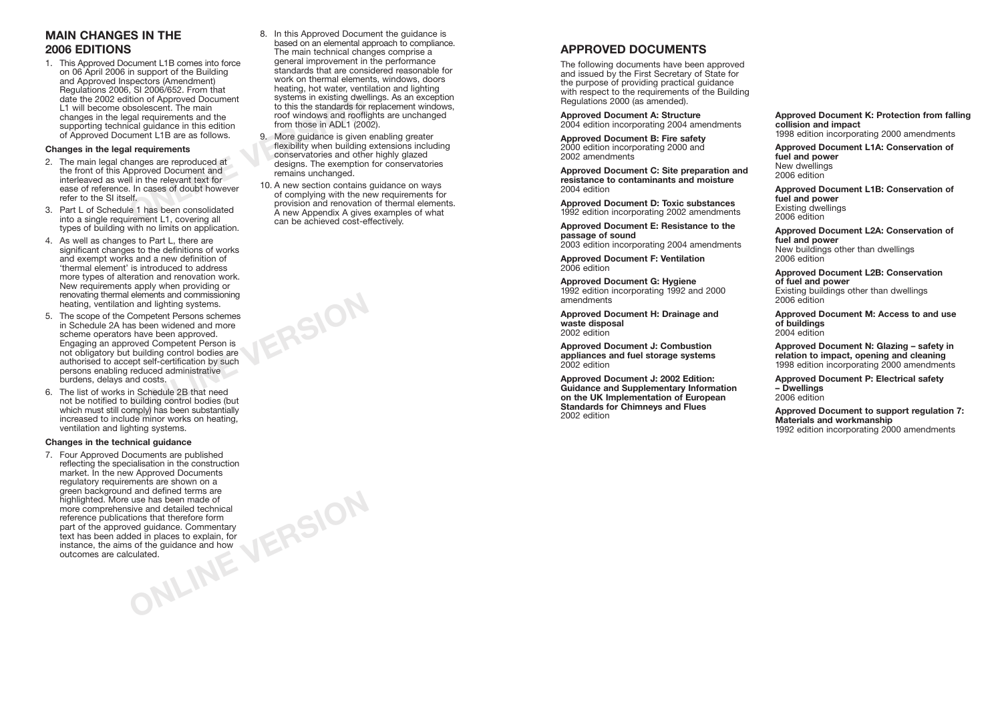## **MAIN CHANGES IN THE 2006 EDITIONS**

1. This Approved Document L1B comes into force on 06 April 2006 in support of the Building and Approved Inspectors (Amendment) Regulations 2006, SI 2006/652. From that date the 2002 edition of Approved Document L1 will become obsolescent. The main changes in the legal requirements and the supporting technical guidance in this edition of Approved Document L1B are as follows.

### **Changes in the legal requirements**

- ition of Approved Document<br>
bsolescent. The main<br>
ical guidance in this edition<br>
ical guidance in this edition<br> **In requirements**<br> **In requirements**<br> **In requirements**<br> **In requirements**<br> **In the relevant text for<br>
In the** 2. The main legal changes are reproduced at the front of this Approved Document and interleaved as well in the relevant text for ease of reference. In cases of doubt however refer to the SI itself.
- 3. Part L of Schedule 1 has been consolidated into a single requirement L1, covering all types of building with no limits on application.
- 4. As well as changes to Part L, there are significant changes to the definitions of works and exempt works and a new definition of 'thermal element' is introduced to address more types of alteration and renovation work. New requirements apply when providing or renovating thermal elements and commissioning heating, ventilation and lighting systems.
- 5. The scope of the Competent Persons schemes in Schedule 2A has been widened and more scheme operators have been approved. Engaging an approved Competent Person is not obligatory but building control bodies are authorised to accept self-certification by such persons enabling reduced administrative burdens, delays and costs.
- 6. The list of works in Schedule 2B that need not be notified to building control bodies (but which must still comply) has been substantially increased to include minor works on heating, ventilation and lighting systems.

### **Changes in the technical guidance**

**Commentary**<br> **Commentary**<br> **So of the guidance and how<br>
DIMENTERSION** 7. Four Approved Documents are published reflecting the specialisation in the construction market. In the new Approved Documents regulatory requirements are shown on a green background and defined terms are highlighted. More use has been made of more comprehensive and detailed technical reference publications that therefore form part of the approved guidance. Commentary text has been added in places to explain, for instance, the aims of the guidance and how outcomes are calculated.

- 8. In this Approved Document the guidance is based on an elemental approach to compliance. The main technical changes comprise a general improvement in the performance standards that are considered reasonable for work on thermal elements, windows, doors heating, hot water, ventilation and lighting systems in existing dwellings. As an exception to this the standards for replacement windows, roof windows and rooflights are unchanged from those in ADL1 (2002).
- 9. More guidance is given enabling greater flexibility when building extensions including conservatories and other highly glazed designs. The exemption for conservatories remains unchanged.
- 10. A new section contains guidance on ways of complying with the new requirements for provision and renovation of thermal elements. A new Appendix A gives examples of what can be achieved cost-effectively.

**ONLINE VERSION**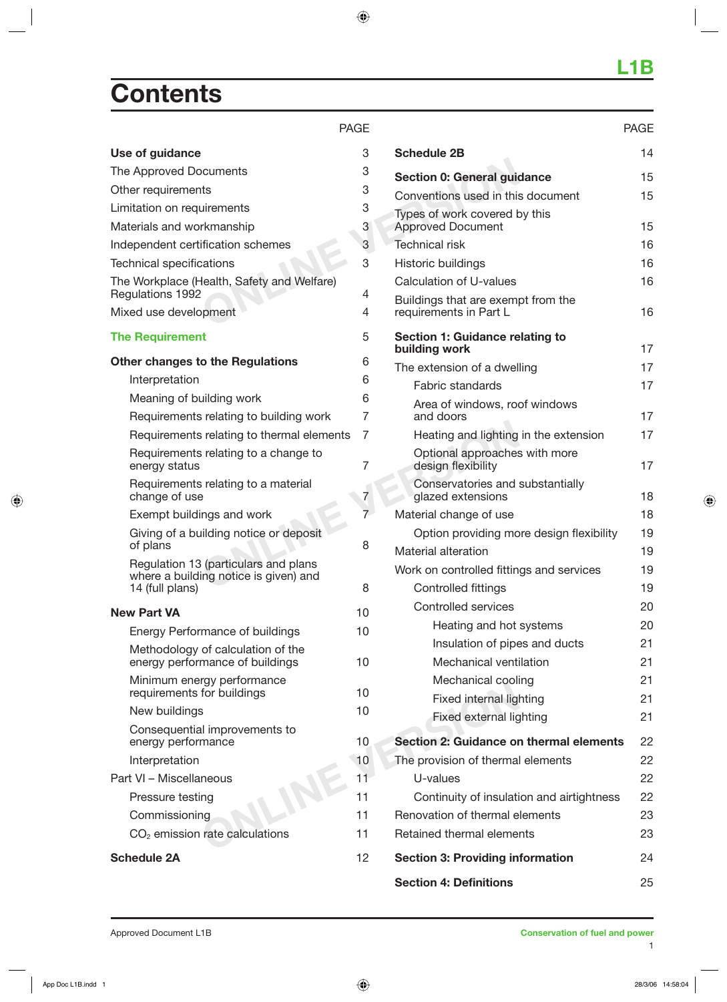# **Contents**

### PAGE

| Use of guidance                                                               | 3              | <b>Schedule 2B</b>                                  |
|-------------------------------------------------------------------------------|----------------|-----------------------------------------------------|
| The Approved Documents                                                        | 3              | Section 0: General guid                             |
| Other requirements                                                            | 3              | Conventions used in this                            |
| Limitation on requirements                                                    | 3              | Types of work covered b                             |
| Materials and workmanship                                                     | 3              | <b>Approved Document</b>                            |
| Independent certification schemes                                             | 3              | <b>Technical risk</b>                               |
| <b>Technical specifications</b>                                               | 3              | Historic buildings                                  |
| The Workplace (Health, Safety and Welfare)                                    |                | Calculation of U-values                             |
| Regulations 1992<br>Mixed use development                                     | 4<br>4         | Buildings that are exemp<br>requirements in Part L  |
| <b>The Requirement</b>                                                        | 5              | <b>Section 1: Guidance re</b><br>building work      |
| <b>Other changes to the Regulations</b>                                       | 6              | The extension of a dwel                             |
| Interpretation                                                                | 6              | Fabric standards                                    |
| Meaning of building work                                                      | 6              | Area of windows, roo                                |
| Requirements relating to building work                                        | 7              | and doors                                           |
| Requirements relating to thermal elements                                     | 7              | Heating and lighting                                |
| Requirements relating to a change to<br>energy status                         | 7              | Optional approaches<br>design flexibility           |
| Requirements relating to a material<br>change of use                          | 7              | Conservatories and<br>glazed extensions             |
| Exempt buildings and work                                                     | $\overline{7}$ | Material change of use                              |
| Giving of a building notice or deposit                                        |                | Option providing mo                                 |
| of plans                                                                      | 8              | Material alteration                                 |
| Regulation 13 (particulars and plans<br>where a building notice is given) and |                | Work on controlled fittin                           |
| 14 (full plans)                                                               | 8              | Controlled fittings                                 |
| <b>New Part VA</b>                                                            | 10             | Controlled services                                 |
| <b>Energy Performance of buildings</b>                                        | 10             | Heating and hot                                     |
| Methodology of calculation of the                                             |                | Insulation of pipe                                  |
| energy performance of buildings                                               | 10             | Mechanical venti                                    |
| Minimum energy performance<br>requirements for buildings                      | 10             | Mechanical cooli                                    |
| New buildings                                                                 | 10             | Fixed internal ligl                                 |
| Consequential improvements to<br>energy performance                           | 10             | Fixed external lig<br><b>Section 2: Guidance or</b> |
| Interpretation                                                                | 10             | The provision of thermal                            |
| Part VI - Miscellaneous                                                       | 11             | U-values                                            |
| Pressure testing                                                              | 11             | Continuity of insulati                              |
| Commissioning                                                                 | 11             | Renovation of thermal e                             |
| $CO2$ emission rate calculations                                              | 11             | Retained thermal eleme                              |
| <b>Schedule 2A</b>                                                            | 12             | <b>Section 3: Providing in</b>                      |

|                                                              | <b>PAGE</b> |
|--------------------------------------------------------------|-------------|
| <b>Schedule 2B</b>                                           | 14          |
| <b>Section 0: General guidance</b>                           | 15          |
| Conventions used in this document                            | 15          |
| Types of work covered by this<br><b>Approved Document</b>    | 15          |
| Technical risk                                               | 16          |
| Historic buildings                                           | 16          |
| <b>Calculation of U-values</b>                               | 16          |
| Buildings that are exempt from the<br>requirements in Part L | 16          |
| Section 1: Guidance relating to<br>building work             | 17          |
| The extension of a dwelling                                  | 17          |
| Fabric standards                                             | 17          |
| Area of windows, roof windows<br>and doors                   | 17          |
| Heating and lighting in the extension                        | 17          |
| Optional approaches with more<br>design flexibility          | 17          |
| Conservatories and substantially<br>glazed extensions        | 18          |
| Material change of use                                       | 18          |
| Option providing more design flexibility                     | 19          |
| <b>Material alteration</b>                                   | 19          |
| Work on controlled fittings and services                     | 19          |
| <b>Controlled fittings</b>                                   | 19          |
| Controlled services                                          | 20          |
| Heating and hot systems                                      | 20          |
| Insulation of pipes and ducts                                | 21          |
| Mechanical ventilation                                       | 21          |
| Mechanical cooling                                           | 21          |
| <b>Fixed internal lighting</b>                               | 21          |
| <b>Fixed external lighting</b>                               | 21          |
| Section 2: Guidance on thermal elements                      | 22          |
| The provision of thermal elements                            | 22          |
| U-values                                                     | 22          |
| Continuity of insulation and airtightness                    | 22          |
| Renovation of thermal elements                               | 23          |
| Retained thermal elements                                    | 23          |
| <b>Section 3: Providing information</b>                      | 24          |
| <b>Section 4: Definitions</b>                                | 25          |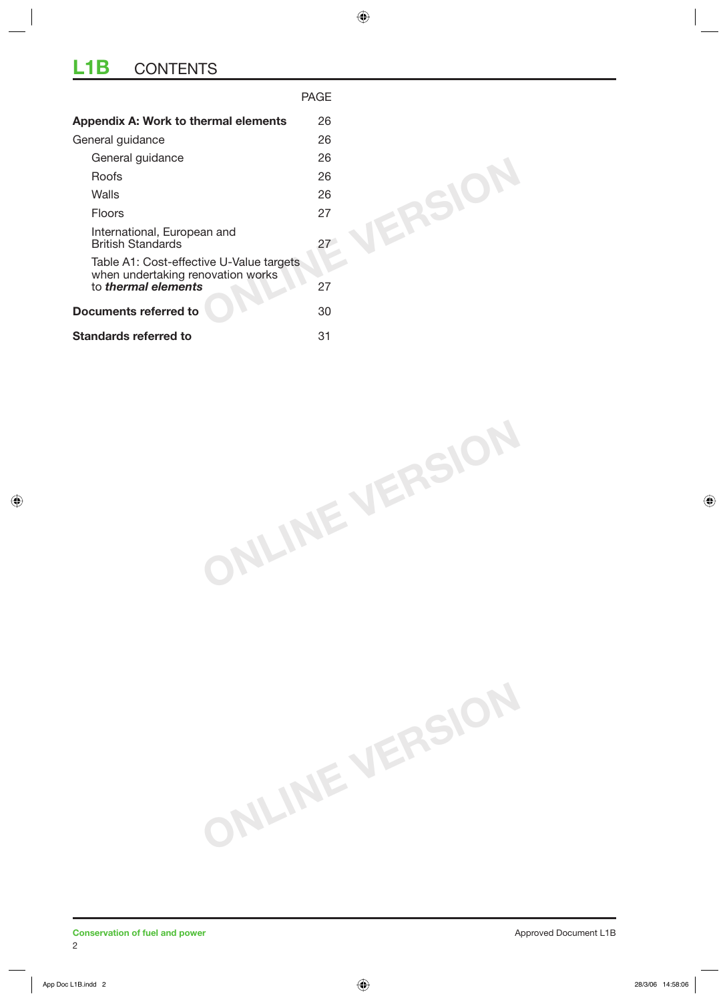## **L1B** CONTENTS

|                                                                               | <b>PAGE</b> |
|-------------------------------------------------------------------------------|-------------|
| Appendix A: Work to thermal elements                                          | 26          |
| General guidance                                                              | 26          |
| General guidance                                                              | 26          |
| Roofs                                                                         | 26          |
| Walls                                                                         | 26          |
| <b>Floors</b>                                                                 | 27          |
| International, European and<br><b>British Standards</b>                       | 27          |
| Table A1: Cost-effective U-Value targets<br>when undertaking renovation works |             |
| to <i>thermal elements</i>                                                    | 27          |
| <b>Documents referred to</b>                                                  | 30          |
| <b>Standards referred to</b>                                                  | 31          |

**ONLINE VERSION**

**ONLINE VERSION**

2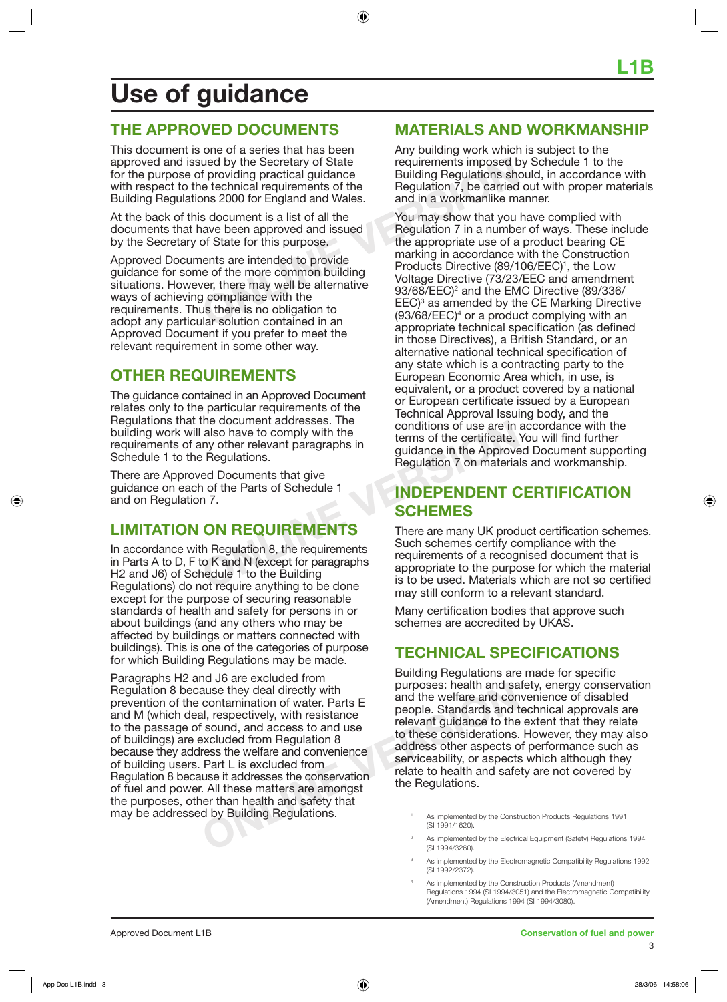# **Use of guidance**

## **THE APPROVED DOCUMENTS**

This document is one of a series that has been approved and issued by the Secretary of State for the purpose of providing practical guidance with respect to the technical requirements of the Building Regulations 2000 for England and Wales.

At the back of this document is a list of all the documents that have been approved and issued by the Secretary of State for this purpose.

Approved Documents are intended to provide guidance for some of the more common building situations. However, there may well be alternative ways of achieving compliance with the requirements. Thus there is no obligation to adopt any particular solution contained in an Approved Document if you prefer to meet the relevant requirement in some other way.

## **OTHER REQUIREMENTS**

The guidance contained in an Approved Document relates only to the particular requirements of the Regulations that the document addresses. The building work will also have to comply with the requirements of any other relevant paragraphs in Schedule 1 to the Regulations.

There are Approved Documents that give guidance on each of the Parts of Schedule 1 and on Regulation 7.

## **LIMITATION ON REQUIREMENTS**

The document addresses. The<br>
also have to comply with the<br>
Pregulations.<br>
Pregulations.<br>
Pregulations of the Parts of Schedule 1<br>
The Parts of Schedule 1<br> **ON REQUIREMENTS**<br> **ON REQUIREMENTS**<br>
There are many UK prod<br>
the P In accordance with Regulation 8, the requirements in Parts A to D, F to K and N (except for paragraphs H2 and J6) of Schedule 1 to the Building Regulations) do not require anything to be done except for the purpose of securing reasonable standards of health and safety for persons in or about buildings (and any others who may be affected by buildings or matters connected with buildings). This is one of the categories of purpose for which Building Regulations may be made.

**EXERCUTE:** As implemented by the Electric (SI 1994/3260).<br>
Samplemented by the Electric Containing to the security with resistance<br>
Samplemented and the welfare and containing is excluded from Regulation 8<br>
The welfare an Paragraphs H2 and J6 are excluded from Regulation 8 because they deal directly with prevention of the contamination of water. Parts E and M (which deal, respectively, with resistance to the passage of sound, and access to and use of buildings) are excluded from Regulation 8 because they address the welfare and convenience of building users. Part L is excluded from Regulation 8 because it addresses the conservation of fuel and power. All these matters are amongst the purposes, other than health and safety that may be addressed by Building Regulations.

## **MATERIALS AND WORKMANSHIP**

Any building work which is subject to the requirements imposed by Schedule 1 to the Building Regulations should, in accordance with Regulation 7, be carried out with proper materials and in a workmanlike manner.

and by the Secretary of State<br>
f providing practical guidance<br>
be technical requirements of the<br>
Dialiding Regulations show<br>
and in a workmanike m<br>
s document is a list of all the<br>
s document is a list of all the<br>
s docume You may show that you have complied with Regulation 7 in a number of ways. These include the appropriate use of a product bearing CE marking in accordance with the Construction Products Directive (89/106/EEC)<sup>1</sup>, the Low Voltage Directive (73/23/EEC and amendment 93/68/EEC)<sup>2</sup> and the EMC Directive (89/336/ EEC)<sup>3</sup> as amended by the CE Marking Directive  $(93/68/EEC)<sup>4</sup>$  or a product complying with an appropriate technical specification (as defined in those Directives), a British Standard, or an alternative national technical specification of any state which is a contracting party to the European Economic Area which, in use, is equivalent, or a product covered by a national or European certificate issued by a European Technical Approval Issuing body, and the conditions of use are in accordance with the terms of the certificate. You will find further guidance in the Approved Document supporting Regulation 7 on materials and workmanship.

## **INDEPENDENT CERTIFICATION SCHEMES**

There are many UK product certification schemes. Such schemes certify compliance with the requirements of a recognised document that is appropriate to the purpose for which the material is to be used. Materials which are not so certified may still conform to a relevant standard.

Many certification bodies that approve such schemes are accredited by UKAS.

## **TECHNICAL SPECIFICATIONS**

Building Regulations are made for specific purposes: health and safety, energy conservation and the welfare and convenience of disabled people. Standards and technical approvals are relevant guidance to the extent that they relate to these considerations. However, they may also address other aspects of performance such as serviceability, or aspects which although they relate to health and safety are not covered by the Regulations.

3

4

<sup>1</sup> As implemented by the Construction Products Regulations 1991 (SI 1991/1620).

<sup>2</sup> As implemented by the Electrical Equipment (Safety) Regulations 1994 (SI 1994/3260).

As implemented by the Electromagnetic Compatibility Regulations 1992 (SI 1992/2372).

As implemented by the Construction Products (Amendment) Regulations 1994 (SI 1994/3051) and the Electromagnetic Compatibility (Amendment) Regulations 1994 (SI 1994/3080).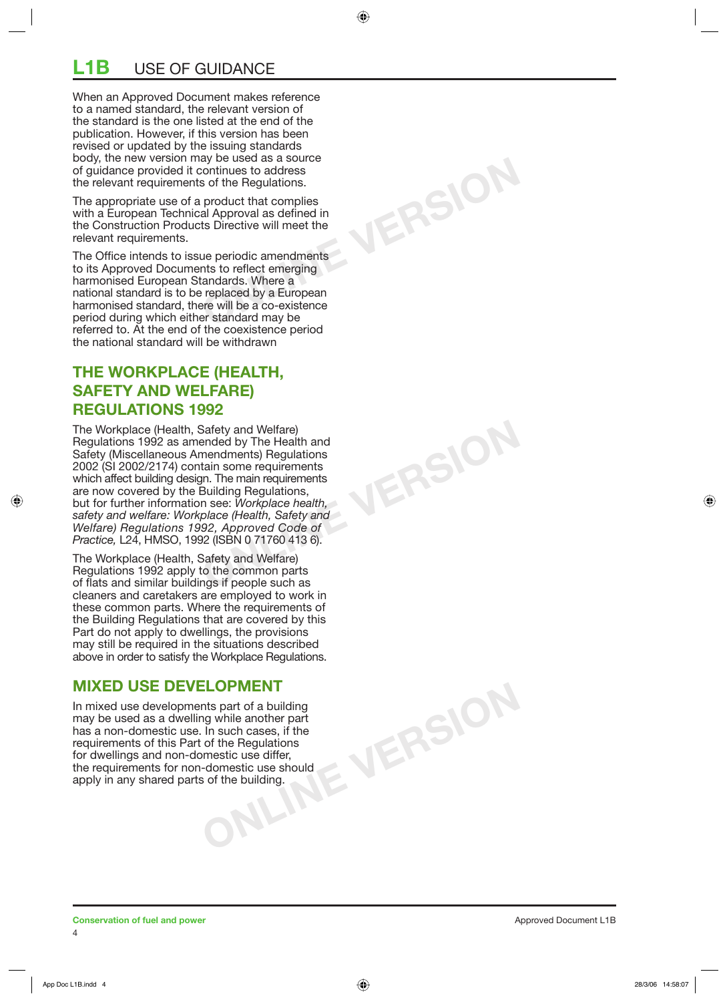## **L1B** USE OF GUIDANCE

When an Approved Document makes reference to a named standard, the relevant version of the standard is the one listed at the end of the publication. However, if this version has been revised or updated by the issuing standards body, the new version may be used as a source of guidance provided it continues to address the relevant requirements of the Regulations.

The appropriate use of a product that complies with a European Technical Approval as defined in the Construction Products Directive will meet the relevant requirements.

**ONLINE VERSION**

**ONLINE VERSION**

The Office intends to issue periodic amendments to its Approved Documents to reflect emerging harmonised European Standards. Where a national standard is to be replaced by a European harmonised standard, there will be a co-existence period during which either standard may be referred to. At the end of the coexistence period the national standard will be withdrawn

## **THE WORKPLACE (HEALTH, SAFETY AND WELFARE) REGULATIONS 1992**

The Workplace (Health, Safety and Welfare) Regulations 1992 as amended by The Health and Safety (Miscellaneous Amendments) Regulations 2002 (SI 2002/2174) contain some requirements which affect building design. The main requirements are now covered by the Building Regulations, but for further information see: *Workplace health, safety and welfare: Workplace (Health, Safety and Welfare) Regulations 1992, Approved Code of Practice, L24, HMSO, 1992 (ISBN 0 71760 413 6).* 

The Workplace (Health, Safety and Welfare) Regulations 1992 apply to the common parts of flats and similar buildings if people such as cleaners and caretakers are employed to work in these common parts. Where the requirements of the Building Regulations that are covered by this Part do not apply to dwellings, the provisions may still be required in the situations described above in order to satisfy the Workplace Regulations.

## **MIXED USE DEVELOPMENT**

**CONCRETE SPACE AND CONCRETE** SUPPORT OF THE SPACE OF THE SPACE OF THE SPACE OF THE SPACE OF THE SPACE OF THE SPACE OF THE SPACE OF THE SPACE OF THE SPACE OF THE SPACE OF THE SPACE OF THE SPACE OF THE SPACE OF THE SPACE OF In mixed use developments part of a building may be used as a dwelling while another part has a non-domestic use. In such cases, if the requirements of this Part of the Regulations for dwellings and non-domestic use differ, the requirements for non-domestic use should apply in any shared parts of the building.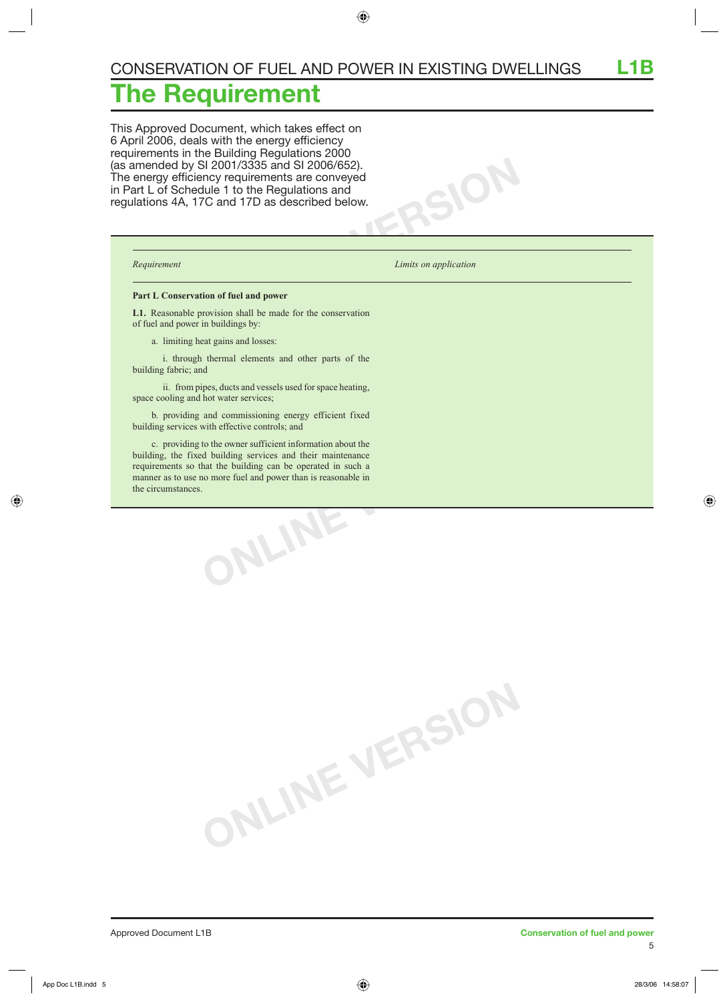# **The Requirement**

This Approved Document, which takes effect on 6 April 2006, deals with the energy efficiency requirements in the Building Regulations 2000 (as amended by SI 2001/3335 and SI 2006/652). The energy efficiency requirements are conveyed in Part L of Schedule 1 to the Regulations and regulations 4A, 17C and 17D as described below.

*Requirement Limits on application* 

 $SOR$ 

#### **Part L Conservation of fuel and power**

**L1.** Reasonable provision shall be made for the conservation of fuel and power in buildings by:

a. limiting heat gains and losses:

 i. through thermal elements and other parts of the building fabric; and

 ii. from pipes, ducts and vessels used for space heating, space cooling and hot water services;

 b. providing and commissioning energy efficient fixed building services with effective controls; and

**ONLINE VERSION** c. providing to the owner sufficient information about the building, the fixed building services and their maintenance requirements so that the building can be operated in such a manner as to use no more fuel and power than is reasonable in the circumstances.

**ONLINE VERSION**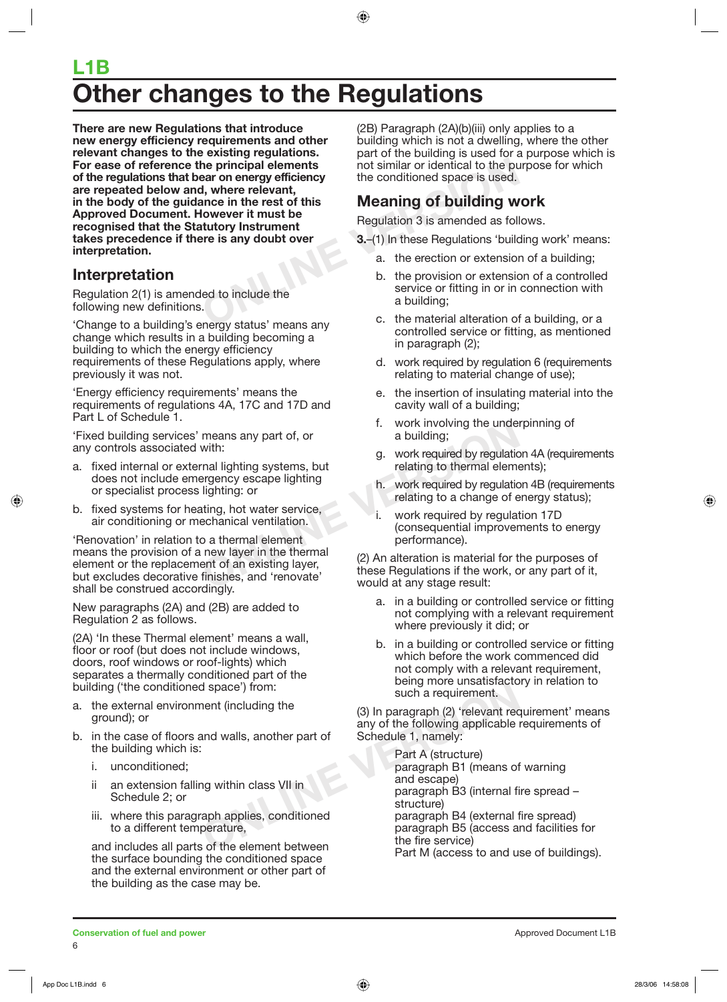# **Other changes to the Regulations L1B**

**Example 19 and 19 and 19 and 19 and 19 and 19 and 19 and 19 and 19 and 19 and 19 and 19 and 19 and 19 and 19 and 19 and 19 and 19 and 19 and 19 and 19 and 19 and 19 and 19 and 19 and 19 and 19 and 19 and 19 and 19 and 19 There are new Regulations that introduce new energy efficiency requirements and other relevant changes to the existing regulations. For ease of reference the principal elements of the regulations that bear on energy efficiency are repeated below and, where relevant, in the body of the guidance in the rest of this Approved Document. However it must be recognised that the Statutory Instrument takes precedence if there is any doubt over interpretation.**

## **Interpretation**

Regulation 2(1) is amended to include the following new definitions.

'Change to a building's energy status' means any change which results in a building becoming a building to which the energy efficiency requirements of these Regulations apply, where previously it was not.

'Energy efficiency requirements' means the requirements of regulations 4A, 17C and 17D and Part L of Schedule 1.

'Fixed building services' means any part of, or any controls associated with:

- a. fixed internal or external lighting systems, but does not include emergency escape lighting or specialist process lighting: or
- b. fixed systems for heating, hot water service, air conditioning or mechanical ventilation.

means any part of, or<br>
with:<br>
with:<br>
ral lighting systems, but<br>
relating to thermal element<br>
lighting: or<br>
a building;<br>
lighting to thermal element<br>
lighting: or<br>
echanical ventilation.<br>
o a thermal element<br>
new layer in t 'Renovation' in relation to a thermal element means the provision of a new layer in the thermal element or the replacement of an existing layer, but excludes decorative finishes, and 'renovate' shall be construed accordingly.

New paragraphs (2A) and (2B) are added to Regulation 2 as follows.

(2A) 'In these Thermal element' means a wall, floor or roof (but does not include windows, doors, roof windows or roof-lights) which separates a thermally conditioned part of the building ('the conditioned space') from:

- a. the external environment (including the ground); or
- b. in the case of floors and walls, another part of the building which is:
	- i. unconditioned;
	- ii an extension falling within class VII in Schedule 2; or
	- iii. where this paragraph applies, conditioned to a different temperature,

and includes all parts of the element between the surface bounding the conditioned space and the external environment or other part of the building as the case may be.

(2B) Paragraph (2A)(b)(iii) only applies to a building which is not a dwelling, where the other part of the building is used for a purpose which is not similar or identical to the purpose for which the conditioned space is used.

## **Meaning of building work**

Regulation 3 is amended as follows.

- **3.**–(1) In these Regulations 'building work' means:
	- a. the erection or extension of a building;
	- b. the provision or extension of a controlled service or fitting in or in connection with a building;
	- c. the material alteration of a building, or a controlled service or fitting, as mentioned in paragraph (2);
	- d. work required by regulation 6 (requirements relating to material change of use);
	- e. the insertion of insulating material into the cavity wall of a building;
	- f. work involving the underpinning of a building;
	- g. work required by regulation 4A (requirements relating to thermal elements);
	- h. work required by regulation 4B (requirements relating to a change of energy status);
	- i. work required by regulation 17D (consequential improvements to energy performance).

(2) An alteration is material for the purposes of these Regulations if the work, or any part of it, would at any stage result:

- a. in a building or controlled service or fitting not complying with a relevant requirement where previously it did; or
- b. in a building or controlled service or fitting which before the work commenced did not comply with a relevant requirement, being more unsatisfactory in relation to such a requirement.

(3) In paragraph (2) 'relevant requirement' means any of the following applicable requirements of Schedule 1, namely:

d space') from:<br>
nent (including the<br>
and walls, another part of<br>
and walls, another part of<br>
Schedule 1, namely:<br>
Part A (structure)<br>
paragraph B1 (means of<br>
ng within class VII in<br>
applies, conditioned<br>
perature,<br>
so f t Part A (structure) paragraph B1 (means of warning and escape) paragraph B3 (internal fire spread – structure) paragraph B4 (external fire spread) paragraph B5 (access and facilities for the fire service) Part M (access to and use of buildings).

**Conservation of fuel and power Conservation of the and power** Approved Document L1B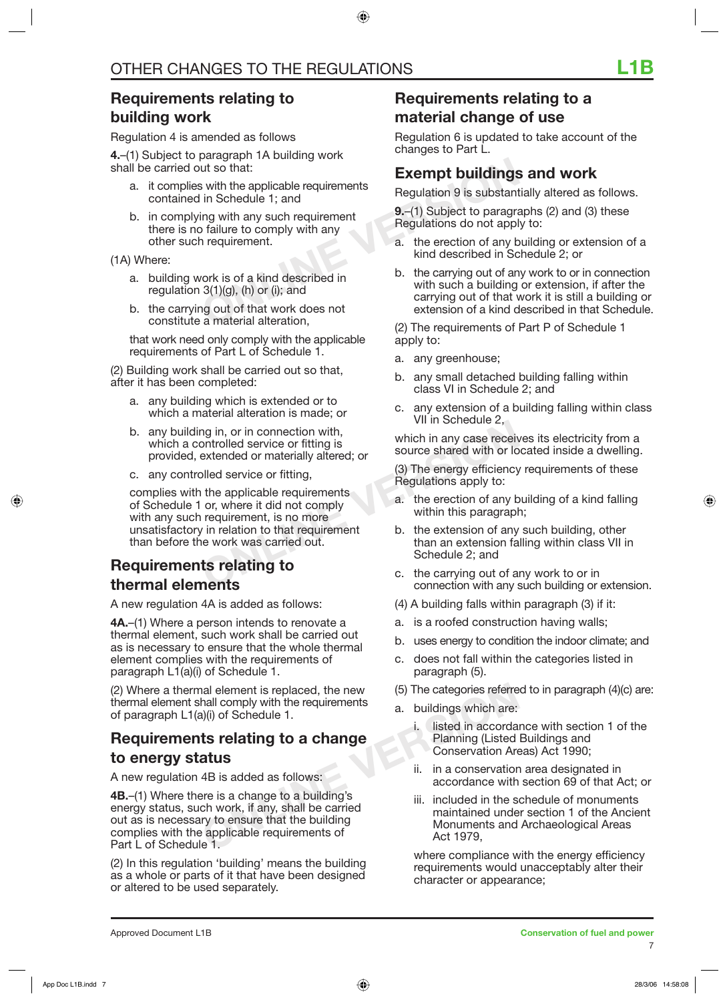## **Requirements relating to building work**

Regulation 4 is amended as follows

**4.**–(1) Subject to paragraph 1A building work shall be carried out so that:

- a. it complies with the applicable requirements contained in Schedule 1; and
- b. in complying with any such requirement there is no failure to comply with any other such requirement.

(1A) Where:

- a. building work is of a kind described in regulation  $3(1)(g)$ , (h) or (i); and
- b. the carrying out of that work does not constitute a material alteration,

 that work need only comply with the applicable requirements of Part L of Schedule 1.

(2) Building work shall be carried out so that, after it has been completed:

- a. any building which is extended or to which a material alteration is made; or
- b. any building in, or in connection with, which a controlled service or fitting is provided, extended or materially altered; or
- c. any controlled service or fitting,

and in the applicable requirements<br>
ontrolled service or fitting is<br>
bled service or fitting,<br>
bled service or fitting,<br>
bled service or fitting,<br>
or, where it did not comply<br>
or, where it did not comply<br>
a. the erection o complies with the applicable requirements of Schedule 1 or, where it did not comply with any such requirement, is no more unsatisfactory in relation to that requirement than before the work was carried out.

## **Requirements relating to thermal elements**

A new regulation 4A is added as follows:

**4A.**–(1) Where a person intends to renovate a thermal element, such work shall be carried out as is necessary to ensure that the whole thermal element complies with the requirements of paragraph L1(a)(i) of Schedule 1.

(2) Where a thermal element is replaced, the new thermal element shall comply with the requirements of paragraph L1(a)(i) of Schedule 1.

## **Requirements relating to a change to energy status**

A new regulation 4B is added as follows:

**Example 1.** Included in the step is a change of a change of a change of a change of a change of a change of a change of a change of a change of a change of a corda Planning (Listed in accorda<br> **ALUS** (AB is added as follo **4B.**–(1) Where there is a change to a building's energy status, such work, if any, shall be carried out as is necessary to ensure that the building complies with the applicable requirements of Part L of Schedule 1.

(2) In this regulation 'building' means the building as a whole or parts of it that have been designed or altered to be used separately.

## **Requirements relating to a material change of use**

Regulation 6 is updated to take account of the changes to Part L.

## **Exempt buildings and work**

Regulation 9 is substantially altered as follows.

**9.**–(1) Subject to paragraphs (2) and (3) these Regulations do not apply to:

- a. the erection of any building or extension of a kind described in Schedule 2; or
- Exempt buildings<br>
ut so that:<br>
in Schedule 1; and<br>
ing with any such requirement<br>
b failure to comply with any<br>
n requirement.<br>
Notation of a kind described in<br>
ork is of a kind described in<br>
Schedule 1; and<br>
a. the erecti b. the carrying out of any work to or in connection with such a building or extension, if after the carrying out of that work it is still a building or extension of a kind described in that Schedule.

(2) The requirements of Part P of Schedule 1 apply to:

- a. any greenhouse;
- b. any small detached building falling within class VI in Schedule 2; and
- c. any extension of a building falling within class VII in Schedule 2,

which in any case receives its electricity from a source shared with or located inside a dwelling.

(3) The energy efficiency requirements of these Regulations apply to:

- a. the erection of any building of a kind falling within this paragraph;
- b. the extension of any such building, other than an extension falling within class VII in Schedule 2; and
- c. the carrying out of any work to or in connection with any such building or extension.
- (4) A building falls within paragraph (3) if it:
- a. is a roofed construction having walls;
- b. uses energy to condition the indoor climate; and
- c. does not fall within the categories listed in paragraph (5).
- (5) The categories referred to in paragraph (4)(c) are:
- a. buildings which are:
	- i. listed in accordance with section 1 of the Planning (Listed Buildings and Conservation Areas) Act 1990;
	- ii. in a conservation area designated in accordance with section 69 of that Act; or
	- iii. included in the schedule of monuments maintained under section 1 of the Ancient Monuments and Archaeological Areas Act 1979,

 where compliance with the energy efficiency requirements would unacceptably alter their character or appearance;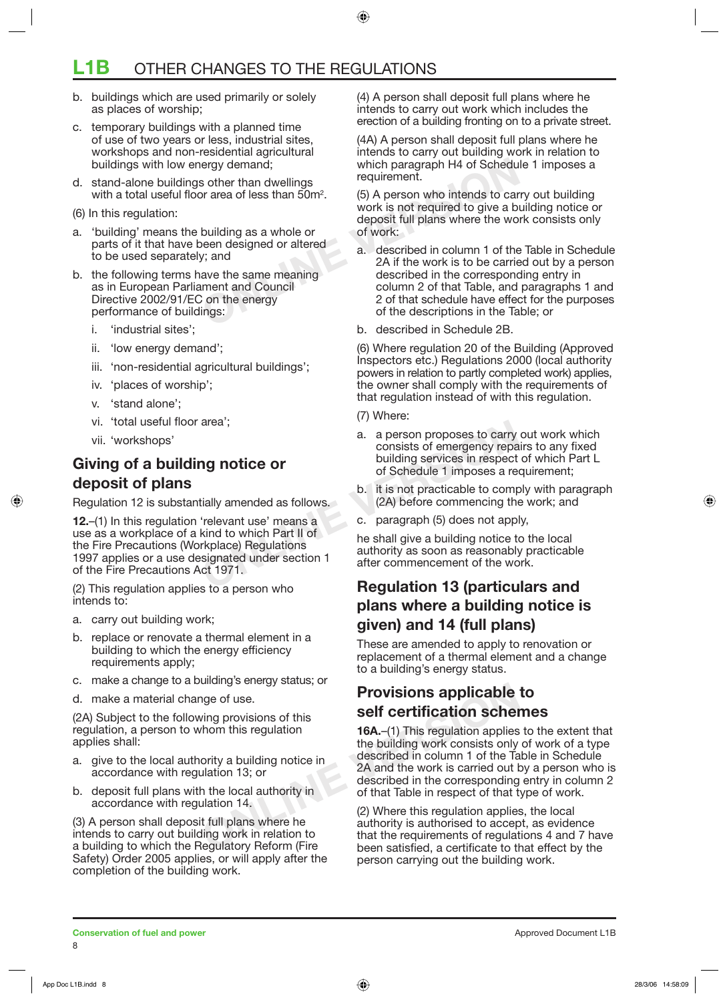## **L1B** OTHER CHANGES TO THE REGULATIONS

- b. buildings which are used primarily or solely as places of worship;
- c. temporary buildings with a planned time of use of two years or less, industrial sites, workshops and non-residential agricultural buildings with low energy demand;
- d. stand-alone buildings other than dwellings with a total useful floor area of less than  $50m^2$ .
- (6) In this regulation:
- a. 'building' means the building as a whole or parts of it that have been designed or altered to be used separately; and
- b. the following terms have the same meaning as in European Parliament and Council Directive 2002/91/EC on the energy performance of buildings:
	- i. 'industrial sites';
	- ii. 'low energy demand';
	- iii. 'non-residential agricultural buildings';
	- iv. 'places of worship';
	- v. 'stand alone';
	- vi. 'total useful floor area';
	- vii. 'workshops'

## **Giving of a building notice or deposit of plans**

Regulation 12 is substantially amended as follows.

a. a person proposes to carry<br> **ONLINE COMPAGE COMPLEM**<br>
2. a person proposes to carry<br>
building services in respect<br>
of Schedule 1 imposes a re-<br>
tially amended as follows.<br>
(2A) before commencing the<br>
(2A) before commenc **12.**–(1) In this regulation 'relevant use' means a use as a workplace of a kind to which Part II of the Fire Precautions (Workplace) Regulations 1997 applies or a use designated under section 1 of the Fire Precautions Act 1971.

(2) This regulation applies to a person who intends to:

- a. carry out building work;
- b. replace or renovate a thermal element in a building to which the energy efficiency requirements apply;
- c. make a change to a building's energy status; or
- d. make a material change of use.

(2A) Subject to the following provisions of this regulation, a person to whom this regulation applies shall:

- a. give to the local authority a building notice in accordance with regulation 13; or
- b. deposit full plans with the local authority in accordance with regulation 14.

(3) A person shall deposit full plans where he intends to carry out building work in relation to a building to which the Regulatory Reform (Fire Safety) Order 2005 applies, or will apply after the completion of the building work.

(4) A person shall deposit full plans where he intends to carry out work which includes the erection of a building fronting on to a private street.

(4A) A person shall deposit full plans where he intends to carry out building work in relation to which paragraph H4 of Schedule 1 imposes a requirement.

(5) A person who intends to carry out building work is not required to give a building notice or deposit full plans where the work consists only of work:

- ergy demand;<br>
So ther than dwellings<br>
or area of less than 50m<sup>2</sup>.<br>
So A person who intends to car<br>
work is not required to give a b<br>
deposit full plans where the wo<br>
building as a whole or<br>
of work:<br>
a. described in colum a. described in column 1 of the Table in Schedule 2A if the work is to be carried out by a person described in the corresponding entry in column 2 of that Table, and paragraphs 1 and 2 of that schedule have effect for the purposes of the descriptions in the Table; or
	- b. described in Schedule 2B.

(6) Where regulation 20 of the Building (Approved Inspectors etc.) Regulations 2000 (local authority powers in relation to partly completed work) applies, the owner shall comply with the requirements of that regulation instead of with this regulation.

- (7) Where:
- a. a person proposes to carry out work which consists of emergency repairs to any fixed building services in respect of which Part L of Schedule 1 imposes a requirement;
- b. it is not practicable to comply with paragraph (2A) before commencing the work; and
- c. paragraph (5) does not apply,

he shall give a building notice to the local authority as soon as reasonably practicable after commencement of the work.

## **Regulation 13 (particulars and plans where a building notice is given) and 14 (full plans)**

These are amended to apply to renovation or replacement of a thermal element and a change to a building's energy status.

## **Provisions applicable to self certification schemes**

**Provisions applicable**<br>
ving provisions of this<br>
thom this regulation<br>
ority a building notice in<br>
view to building work consists only<br>
described in column 1 of the Ta<br>
view ork is carried out b<br>
and the work is carried o **16A.**–(1) This regulation applies to the extent that the building work consists only of work of a type described in column 1 of the Table in Schedule 2A and the work is carried out by a person who is described in the corresponding entry in column 2 of that Table in respect of that type of work.

(2) Where this regulation applies, the local authority is authorised to accept, as evidence that the requirements of regulations 4 and 7 have been satisfied, a certificate to that effect by the person carrying out the building work.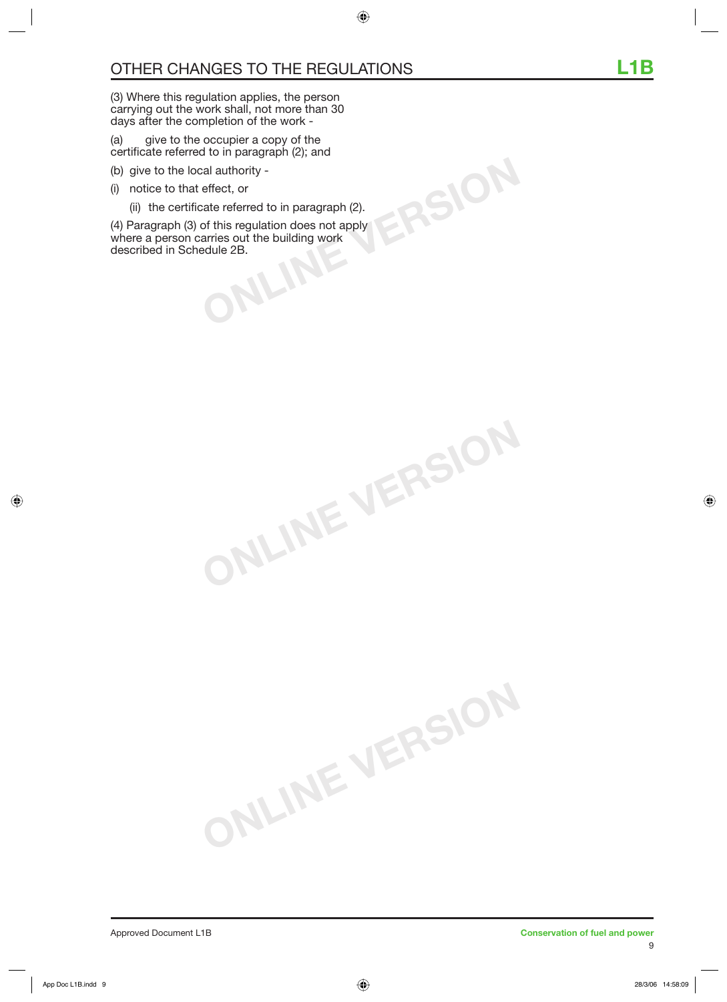(3) Where this regulation applies, the person carrying out the work shall, not more than 30 days after the completion of the work -

(a) give to the occupier a copy of the certificate referred to in paragraph (2); and

- (b) give to the local authority -
- (i) notice to that effect, or
	- (ii) the certificate referred to in paragraph (2).

**ONLINE VERSION**

**ONLINE VERSION**

**DEPENDENT OF A SCREEN SCREEN SCREEN SCREEN SCREEN SCREEN SCREEN SCREEN SCREEN SCREEN SCREEN SCREEN SCREEN SCREEN SCREEN SCREEN SCREEN SCREEN SCREEN SCREEN SCREEN SCREEN SCREEN SCREEN SCREEN SCREEN SCREEN SCREEN SCREEN SCR** (4) Paragraph (3) of this regulation does not apply where a person carries out the building work described in Schedule 2B.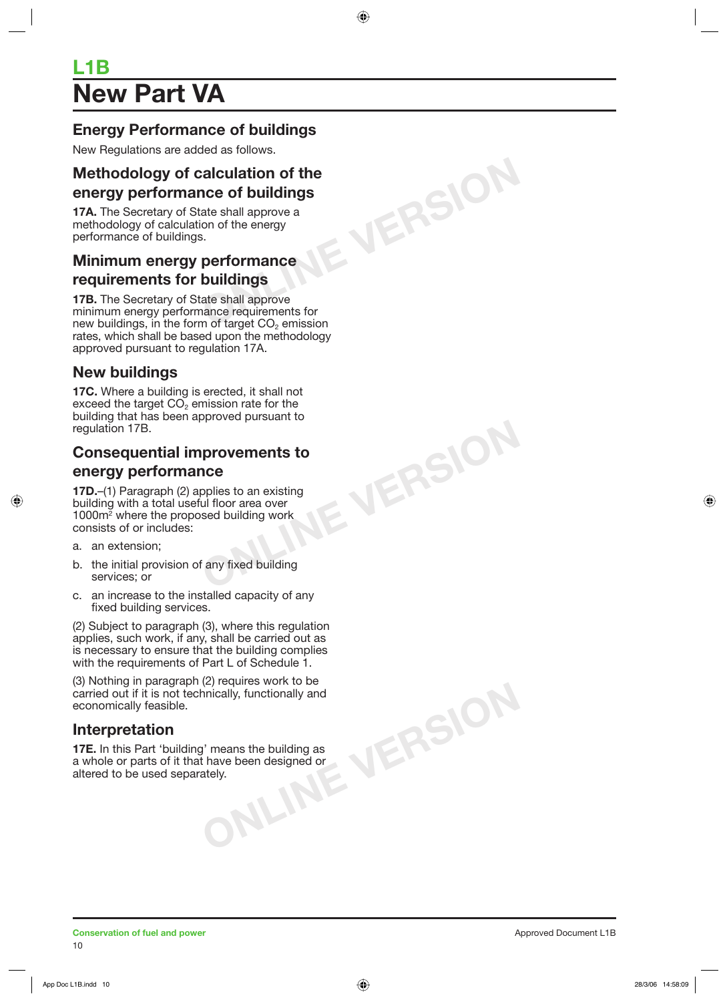# **New Part VA L1B**

## **Energy Performance of buildings**

New Regulations are added as follows.

# **ONLINE VERSION Methodology of calculation of the energy performance of buildings**

**17A.** The Secretary of State shall approve a methodology of calculation of the energy performance of buildings.

## **Minimum energy performance requirements for buildings**

**17B.** The Secretary of State shall approve minimum energy performance requirements for new buildings, in the form of target  $CO<sub>2</sub>$  emission rates, which shall be based upon the methodology approved pursuant to regulation 17A.

## **New buildings**

**17C.** Where a building is erected, it shall not exceed the target  $CO<sub>2</sub>$  emission rate for the building that has been approved pursuant to regulation 17B.

## **Consequential improvements to energy performance**

**ONLINE VERSION**

**17D.**–(1) Paragraph (2) applies to an existing building with a total useful floor area over 1000m2 where the proposed building work consists of or includes:

- a. an extension;
- b. the initial provision of any fixed building services; or
- c. an increase to the installed capacity of any fixed building services.

(2) Subject to paragraph (3), where this regulation applies, such work, if any, shall be carried out as is necessary to ensure that the building complies with the requirements of Part L of Schedule 1.

means the building as<br>have been designed or<br>ely. (3) Nothing in paragraph (2) requires work to be carried out if it is not technically, functionally and economically feasible.

## **Interpretation**

**17E.** In this Part 'building' means the building as a whole or parts of it that have been designed or altered to be used separately.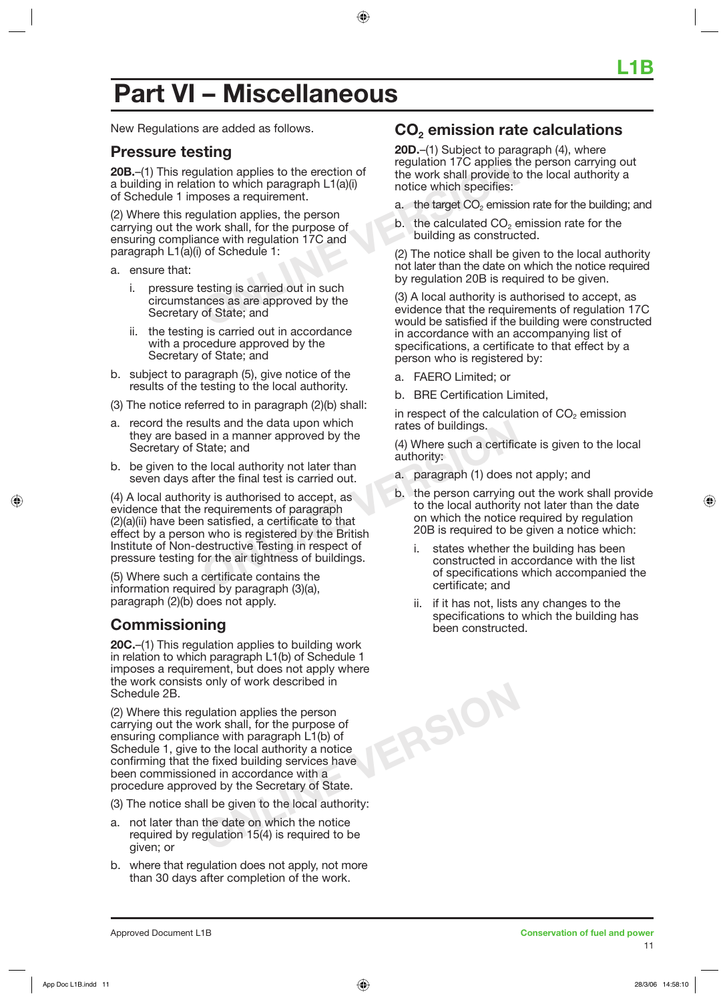# **Part VI – Miscellaneous**

New Regulations are added as follows.

### **Pressure testing**

**20B.**–(1) This regulation applies to the erection of a building in relation to which paragraph L1(a)(i) of Schedule 1 imposes a requirement.

**CONFIDENTIFY AND THE CONFIDENTIFY SET ASSESS**<br>
Unation applies to the erection of the work shall provide to<br>
notice which specifies:<br>
Unation applies, the person<br>
vork shall, for the purpose of<br>
notice with regulation 17C (2) Where this regulation applies, the person carrying out the work shall, for the purpose of ensuring compliance with regulation 17C and paragraph L1(a)(i) of Schedule 1:

- a. ensure that:
	- i. pressure testing is carried out in such circumstances as are approved by the Secretary of State; and
	- ii. the testing is carried out in accordance with a procedure approved by the Secretary of State; and
- b. subject to paragraph (5), give notice of the results of the testing to the local authority.
- (3) The notice referred to in paragraph (2)(b) shall:
- a. record the results and the data upon which they are based in a manner approved by the Secretary of State; and
- b. be given to the local authority not later than seven days after the final test is carried out.

Fig. 12003<br>
State; and the data upon which that the state of buildings.<br>
State; and (4) Where such a certific<br>
e local authority not later than<br>
ter the final test is carried out.<br>
ty is authorised to accept, as<br>
requireme (4) A local authority is authorised to accept, as evidence that the requirements of paragraph (2)(a)(ii) have been satisfied, a certificate to that effect by a person who is registered by the British Institute of Non-destructive Testing in respect of pressure testing for the air tightness of buildings.

(5) Where such a certificate contains the information required by paragraph (3)(a), paragraph (2)(b) does not apply.

## **Commissioning**

**20C.**–(1) This regulation applies to building work in relation to which paragraph L1(b) of Schedule 1 imposes a requirement, but does not apply where the work consists only of work described in Schedule 2B.

(2) Where this regulation applies the person carrying out the work shall, for the purpose of ensuring compliance with paragraph L1(b) of Schedule 1, give to the local authority a notice confirming that the fixed building services have been commissioned in accordance with a procedure approved by the Secretary of State.

(3) The notice shall be given to the local authority:

- a. not later than the date on which the notice required by regulation 15(4) is required to be given; or
- b. where that regulation does not apply, not more than 30 days after completion of the work.

## **CO2 emission rate calculations**

**20D.**–(1) Subject to paragraph (4), where regulation 17C applies the person carrying out the work shall provide to the local authority a notice which specifies:

- a. the target  $CO<sub>2</sub>$  emission rate for the building; and
- $b$ . the calculated  $CO<sub>2</sub>$  emission rate for the building as constructed.

(2) The notice shall be given to the local authority not later than the date on which the notice required by regulation 20B is required to be given.

(3) A local authority is authorised to accept, as evidence that the requirements of regulation 17C would be satisfied if the building were constructed in accordance with an accompanying list of specifications, a certificate to that effect by a person who is registered by:

a. FAERO Limited; or

**ONLINE VERSION**

b. BRE Certification Limited,

in respect of the calculation of  $CO<sub>2</sub>$  emission rates of buildings.

(4) Where such a certificate is given to the local authority:

- a. paragraph (1) does not apply; and
- b. the person carrying out the work shall provide to the local authority not later than the date on which the notice required by regulation 20B is required to be given a notice which:
	- i. states whether the building has been constructed in accordance with the list of specifications which accompanied the certificate; and
	- ii. if it has not, lists any changes to the specifications to which the building has been constructed.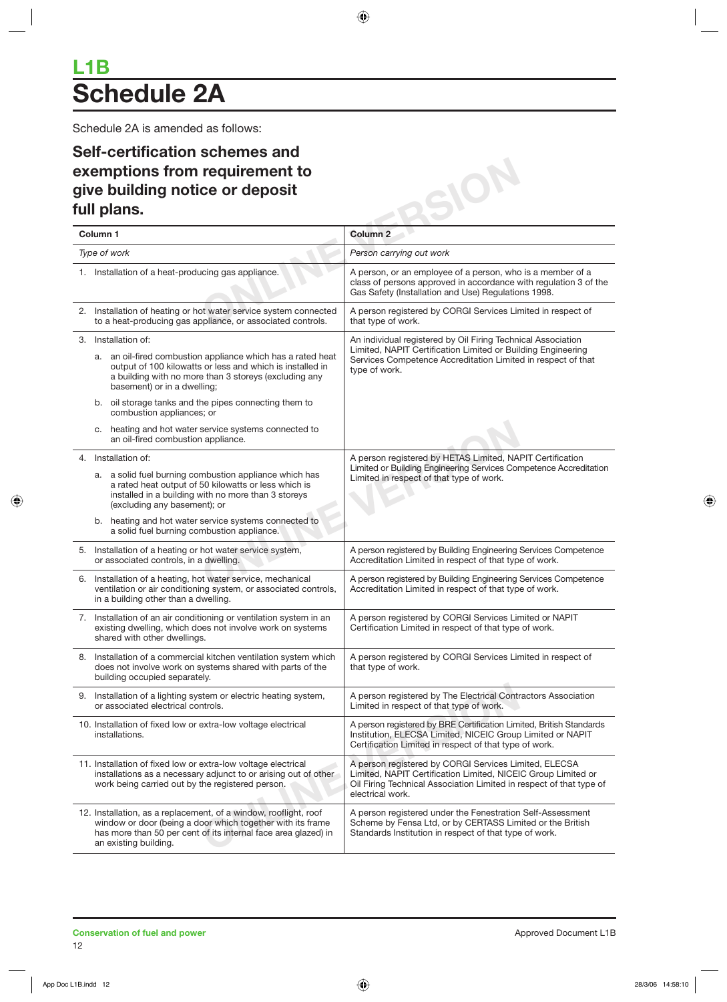# **L1B Schedule 2A**

Schedule 2A is amended as follows:

## **Self-certification schemes and exemptions from requirement to give building notice or deposit full plans.**

| Self-certification schemes and<br>exemptions from requirement to                                                                                                                                                          |                                                                                                                                                                                                                   |
|---------------------------------------------------------------------------------------------------------------------------------------------------------------------------------------------------------------------------|-------------------------------------------------------------------------------------------------------------------------------------------------------------------------------------------------------------------|
| give building notice or deposit                                                                                                                                                                                           |                                                                                                                                                                                                                   |
| full plans.                                                                                                                                                                                                               |                                                                                                                                                                                                                   |
| Column <sub>1</sub>                                                                                                                                                                                                       | Column <sub>2</sub>                                                                                                                                                                                               |
| Type of work                                                                                                                                                                                                              | Person carrying out work                                                                                                                                                                                          |
| 1. Installation of a heat-producing gas appliance.                                                                                                                                                                        | A person, or an employee of a person, who is a member of a<br>class of persons approved in accordance with regulation 3 of the<br>Gas Safety (Installation and Use) Regulations 1998.                             |
| 2. Installation of heating or hot water service system connected<br>to a heat-producing gas appliance, or associated controls.                                                                                            | A person registered by CORGI Services Limited in respect of<br>that type of work.                                                                                                                                 |
| 3. Installation of:                                                                                                                                                                                                       | An individual registered by Oil Firing Technical Association                                                                                                                                                      |
| a. an oil-fired combustion appliance which has a rated heat<br>output of 100 kilowatts or less and which is installed in<br>a building with no more than 3 storeys (excluding any<br>basement) or in a dwelling;          | Limited, NAPIT Certification Limited or Building Engineering<br>Services Competence Accreditation Limited in respect of that<br>type of work.                                                                     |
| b. oil storage tanks and the pipes connecting them to<br>combustion appliances; or                                                                                                                                        |                                                                                                                                                                                                                   |
| c. heating and hot water service systems connected to<br>an oil-fired combustion appliance.                                                                                                                               |                                                                                                                                                                                                                   |
| 4. Installation of:                                                                                                                                                                                                       | A person registered by HETAS Limited, NAPIT Certification<br>Limited or Building Engineering Services Competence Accreditation                                                                                    |
| a. a solid fuel burning combustion appliance which has<br>a rated heat output of 50 kilowatts or less which is<br>installed in a building with no more than 3 storeys<br>(excluding any basement); or                     | Limited in respect of that type of work.                                                                                                                                                                          |
| b. heating and hot water service systems connected to<br>a solid fuel burning combustion appliance.                                                                                                                       |                                                                                                                                                                                                                   |
| 5. Installation of a heating or hot water service system,<br>or associated controls, in a dwelling.                                                                                                                       | A person registered by Building Engineering Services Competence<br>Accreditation Limited in respect of that type of work.                                                                                         |
| 6. Installation of a heating, hot water service, mechanical<br>ventilation or air conditioning system, or associated controls,<br>in a building other than a dwelling.                                                    | A person registered by Building Engineering Services Competence<br>Accreditation Limited in respect of that type of work.                                                                                         |
| 7. Installation of an air conditioning or ventilation system in an<br>existing dwelling, which does not involve work on systems<br>shared with other dwellings.                                                           | A person registered by CORGI Services Limited or NAPIT<br>Certification Limited in respect of that type of work.                                                                                                  |
| 8. Installation of a commercial kitchen ventilation system which<br>does not involve work on systems shared with parts of the<br>building occupied separately.                                                            | A person registered by CORGI Services Limited in respect of<br>that type of work.                                                                                                                                 |
| 9. Installation of a lighting system or electric heating system,<br>or associated electrical controls.                                                                                                                    | A person registered by The Electrical Contractors Association<br>Limited in respect of that type of work.                                                                                                         |
| 10. Installation of fixed low or extra-low voltage electrical<br>installations.                                                                                                                                           | A person registered by BRE Certification Limited, British Standards<br>Institution, ELECSA Limited, NICEIC Group Limited or NAPIT<br>Certification Limited in respect of that type of work.                       |
| 11. Installation of fixed low or extra-low voltage electrical<br>installations as a necessary adjunct to or arising out of other<br>work being carried out by the registered person.                                      | A person registered by CORGI Services Limited, ELECSA<br>Limited, NAPIT Certification Limited, NICEIC Group Limited or<br>Oil Firing Technical Association Limited in respect of that type of<br>electrical work. |
| 12. Installation, as a replacement, of a window, rooflight, roof<br>window or door (being a door which together with its frame<br>has more than 50 per cent of its internal face area glazed) in<br>an existing building. | A person registered under the Fenestration Self-Assessment<br>Scheme by Fensa Ltd, or by CERTASS Limited or the British<br>Standards Institution in respect of that type of work.                                 |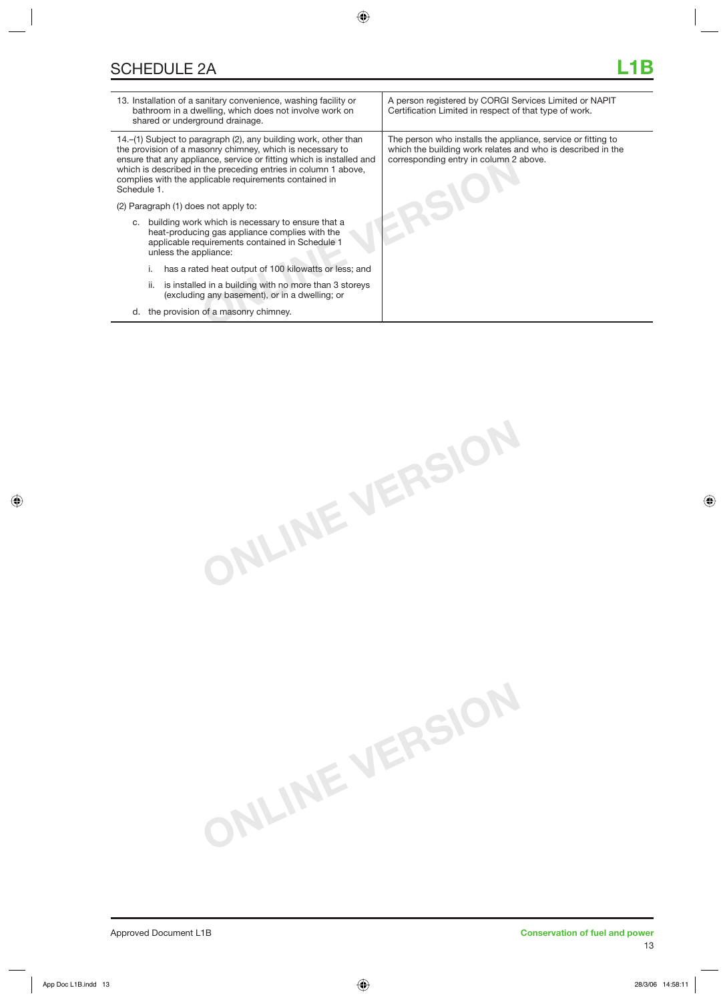| 13. Installation of a sanitary convenience, washing facility or<br>bathroom in a dwelling, which does not involve work on<br>shared or underground drainage.                                                                                                                                                                                    | A person registered by CORGI Services Limited or NAPIT<br>Certification Limited in respect of that type of work.                                                      |
|-------------------------------------------------------------------------------------------------------------------------------------------------------------------------------------------------------------------------------------------------------------------------------------------------------------------------------------------------|-----------------------------------------------------------------------------------------------------------------------------------------------------------------------|
| 14.–(1) Subject to paragraph (2), any building work, other than<br>the provision of a masonry chimney, which is necessary to<br>ensure that any appliance, service or fitting which is installed and<br>which is described in the preceding entries in column 1 above,<br>complies with the applicable requirements contained in<br>Schedule 1. | The person who installs the appliance, service or fitting to<br>which the building work relates and who is described in the<br>corresponding entry in column 2 above. |
| (2) Paragraph (1) does not apply to:                                                                                                                                                                                                                                                                                                            |                                                                                                                                                                       |
| c. building work which is necessary to ensure that a<br>heat-producing gas appliance complies with the<br>applicable requirements contained in Schedule 1<br>unless the appliance:                                                                                                                                                              |                                                                                                                                                                       |
| has a rated heat output of 100 kilowatts or less; and                                                                                                                                                                                                                                                                                           |                                                                                                                                                                       |
| is installed in a building with no more than 3 storeys<br>ii.<br>(excluding any basement), or in a dwelling; or                                                                                                                                                                                                                                 |                                                                                                                                                                       |
| the provision of a masonry chimney.<br>d.                                                                                                                                                                                                                                                                                                       |                                                                                                                                                                       |
|                                                                                                                                                                                                                                                                                                                                                 |                                                                                                                                                                       |

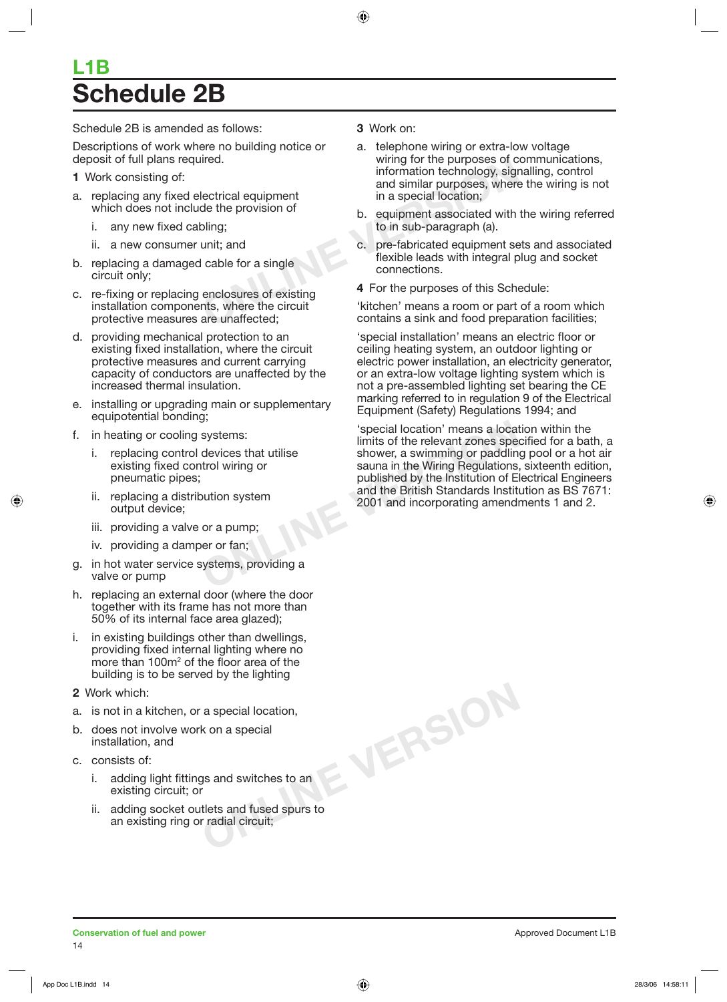# **L1B Schedule 2B**

Schedule 2B is amended as follows:

Descriptions of work where no building notice or deposit of full plans required.

- **1** Work consisting of:
- a. replacing any fixed electrical equipment which does not include the provision of
	- i. any new fixed cabling;
	- ii. a new consumer unit; and
- b. replacing a damaged cable for a single circuit only;
- c. re-fixing or replacing enclosures of existing installation components, where the circuit protective measures are unaffected;
- d. providing mechanical protection to an existing fixed installation, where the circuit protective measures and current carrying capacity of conductors are unaffected by the increased thermal insulation.
- e. installing or upgrading main or supplementary equipotential bonding;
- f. in heating or cooling systems:
	- i. replacing control devices that utilise existing fixed control wiring or pneumatic pipes;
	- ii. replacing a distribution system output device;
	- iii. providing a valve or a pump;
	- iv. providing a damper or fan;
- g. in hot water service systems, providing a valve or pump
- h. replacing an external door (where the door together with its frame has not more than 50% of its internal face area glazed);
- i. in existing buildings other than dwellings, providing fixed internal lighting where no more than 100m<sup>2</sup> of the floor area of the building is to be served by the lighting
- **2** Work which:
- a. is not in a kitchen, or a special location,
- b. does not involve work on a special installation, and
- c. consists of:
	- i. adding light fittings and switches to an existing circuit; or
	- ii. adding socket outlets and fused spurs to an existing ring or radial circuit;

### **3** Work on:

- Frequency of the purposes of contains a special location;<br>
lectrical equipment<br>
de the provision of<br>
oling;<br>
the provision of<br>
one special location;<br>
b. equipment associated with<br>
to in sub-paragraph (a).<br>
unit; and<br>
conne a. telephone wiring or extra-low voltage wiring for the purposes of communications, information technology, signalling, control and similar purposes, where the wiring is not in a special location;
	- b. equipment associated with the wiring referred to in sub-paragraph (a).
	- c. pre-fabricated equipment sets and associated flexible leads with integral plug and socket connections.
	- **4** For the purposes of this Schedule:

'kitchen' means a room or part of a room which contains a sink and food preparation facilities;

'special installation' means an electric floor or ceiling heating system, an outdoor lighting or electric power installation, an electricity generator, or an extra-low voltage lighting system which is not a pre-assembled lighting set bearing the CE marking referred to in regulation 9 of the Electrical Equipment (Safety) Regulations 1994; and

Systems:<br>
Systems:<br>
devices that utilise<br>
devices that utilise<br>
shower, a swimming or paddlin<br>
sauna in the Wiring Regulations<br>
published by the Institution of E<br>
and the British Standards Institution<br>
or a pump;<br>
or a pum 'special location' means a location within the limits of the relevant zones specified for a bath, a shower, a swimming or paddling pool or a hot air sauna in the Wiring Regulations, sixteenth edition, published by the Institution of Electrical Engineers and the British Standards Institution as BS 7671: 2001 and incorporating amendments 1 and 2.

**ONLINE VERSION**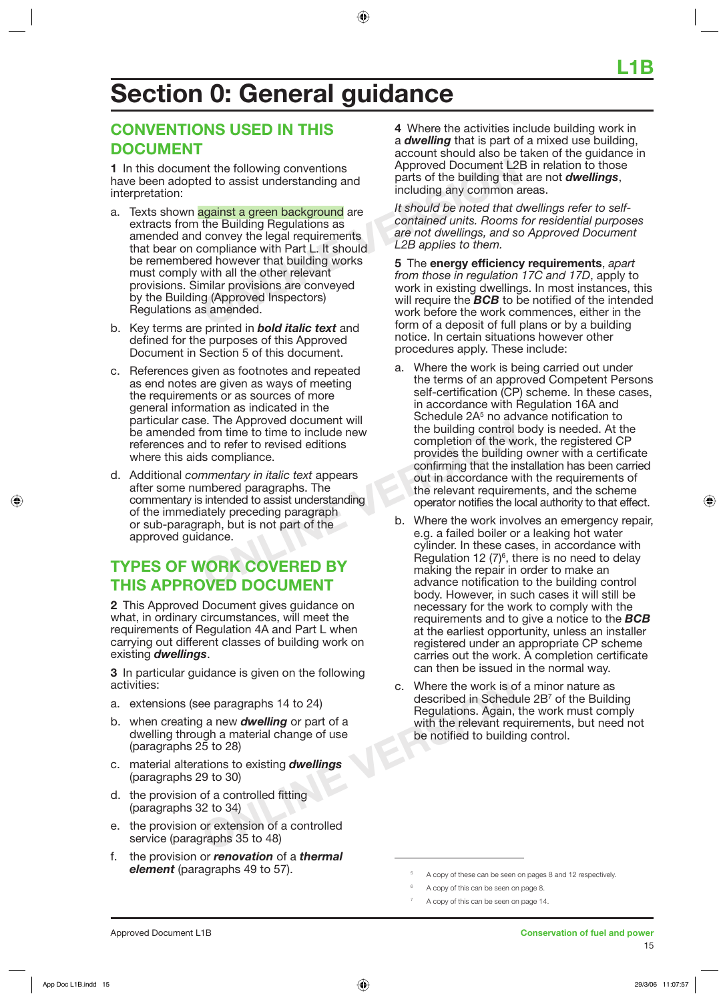# **Section 0: General guidance**

## **CONVENTIONS USED IN THIS DOCUMENT**

**1** In this document the following conventions have been adopted to assist understanding and interpretation:

- The following conventions<br>
and<br>
and the following conventions<br>
and the building that<br>
and the building any common a<br>
against a green background are<br>
the Building Regulations as<br>
contained units. Rooms<br>
convey the legal req a. Texts shown against a green background are extracts from the Building Regulations as amended and convey the legal requirements that bear on compliance with Part L. It should be remembered however that building works must comply with all the other relevant provisions. Similar provisions are conveyed by the Building (Approved Inspectors) Regulations as amended.
- b. Key terms are printed in *bold italic text* and defined for the purposes of this Approved Document in Section 5 of this document.
- c. References given as footnotes and repeated as end notes are given as ways of meeting the requirements or as sources of more general information as indicated in the particular case. The Approved document will be amended from time to time to include new references and to refer to revised editions where this aids compliance.
- E. The Approved document will<br>
irom time to time to include new<br>
d to refer to revised editions<br>
Is compliance.<br>
In the building control is<br>
provides the building<br>
confirming that the in<br>
out in accordance w<br>
meered paragr d. Additional *commentary in italic text* appears after some numbered paragraphs. The commentary is intended to assist understanding of the immediately preceding paragraph or sub-paragraph, but is not part of the approved guidance.

## **TYPES OF WORK COVERED BY THIS APPROVED DOCUMENT**

**2** This Approved Document gives guidance on what, in ordinary circumstances, will meet the requirements of Regulation 4A and Part L when carrying out different classes of building work on existing *dwellings*.

**3** In particular guidance is given on the following activities:

- a. extensions (see paragraphs 14 to 24)
- b. when creating a new *dwelling* or part of a dwelling through a material change of use (paragraphs 25 to 28)
- c. material alterations to existing *dwellings* (paragraphs 29 to 30)
- d. the provision of a controlled fitting (paragraphs 32 to 34)
- e. the provision or extension of a controlled service (paragraphs 35 to 48)
- f. the provision or *renovation* of a *thermal element* (paragraphs 49 to 57).

**4** Where the activities include building work in a *dwelling* that is part of a mixed use building, account should also be taken of the guidance in Approved Document L2B in relation to those parts of the building that are not *dwellings*, including any common areas.

*It should be noted that dwellings refer to selfcontained units. Rooms for residential purposes are not dwellings, and so Approved Document L2B applies to them.*

**5** The **energy efficiency requirements**, *apart from those in regulation 17C and 17D*, apply to work in existing dwellings. In most instances, this will require the *BCB* to be notified of the intended work before the work commences, either in the form of a deposit of full plans or by a building notice. In certain situations however other procedures apply. These include:

- a. Where the work is being carried out under the terms of an approved Competent Persons self-certification (CP) scheme. In these cases, in accordance with Regulation 16A and Schedule 2A<sup>5</sup> no advance notification to the building control body is needed. At the completion of the work, the registered CP provides the building owner with a certificate confirming that the installation has been carried out in accordance with the requirements of the relevant requirements, and the scheme operator notifies the local authority to that effect.
- b. Where the work involves an emergency repair, e.g. a failed boiler or a leaking hot water cylinder. In these cases, in accordance with Regulation 12  $(7)^6$ , there is no need to delay making the repair in order to make an advance notification to the building control body. However, in such cases it will still be necessary for the work to comply with the requirements and to give a notice to the *BCB* at the earliest opportunity, unless an installer registered under an appropriate CP scheme carries out the work. A completion certificate can then be issued in the normal way.
- C. Where the work is of<br>
Dee paragraphs 14 to 24)<br> **C.** Where the work is of<br>
described in Schedu<br>
Regulations. Again,<br>
ugh a material change of use<br>
5 to 28)<br>
ations to existing **dwellings**<br>
(19 to 30)<br>
of a controlled fi c. Where the work is of a minor nature as described in Schedule 2B<sup>7</sup> of the Building Regulations. Again, the work must comply with the relevant requirements, but need not be notified to building control.

7

<sup>5</sup> A copy of these can be seen on pages 8 and 12 respectively.

<sup>6</sup> A copy of this can be seen on page 8.

A copy of this can be seen on page 14.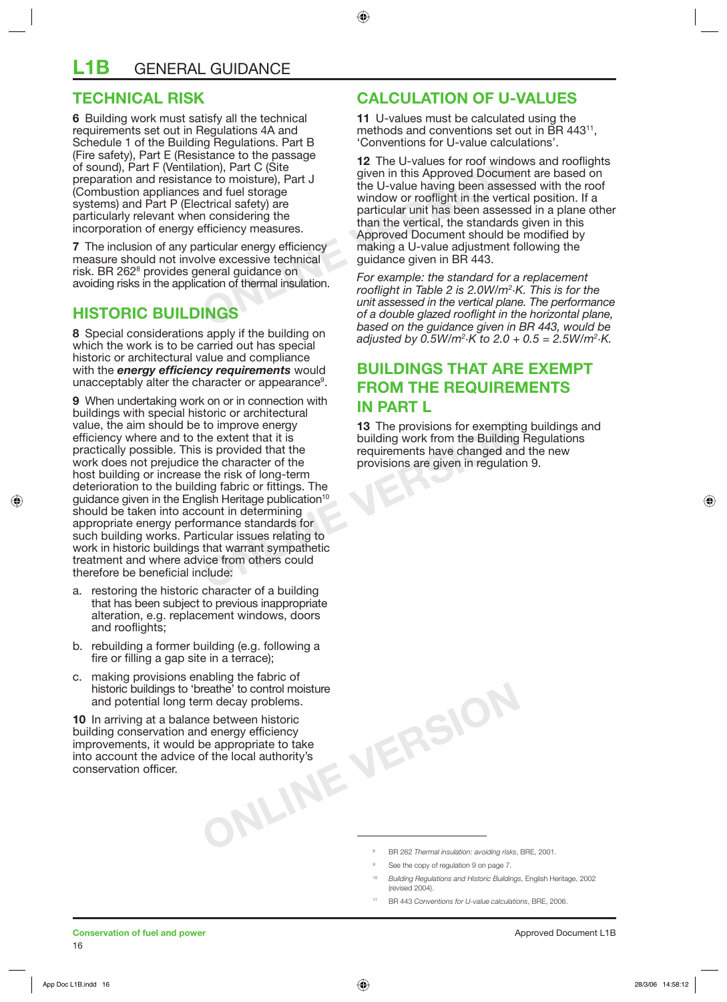## **TECHNICAL RISK**

**6** Building work must satisfy all the technical requirements set out in Regulations 4A and Schedule 1 of the Building Regulations. Part B (Fire safety), Part E (Resistance to the passage of sound), Part F (Ventilation), Part C (Site preparation and resistance to moisture), Part J (Combustion appliances and fuel storage systems) and Part P (Electrical safety) are particularly relevant when considering the incorporation of energy efficiency measures.

**7** The inclusion of any particular energy efficiency measure should not involve excessive technical risk. BR 262<sup>8</sup> provides general guidance on avoiding risks in the application of thermal insulation.

## **HISTORIC BUILDINGS**

**8** Special considerations apply if the building on which the work is to be carried out has special historic or architectural value and compliance with the *energy efficiency requirements* would unacceptably alter the character or appearance9 .

to improve energy<br>
to improve energy<br>
the extent that it is<br>
is provided that the<br>
the character of the<br>
the character of the<br>
the risk of long-term<br>
ing fabric or fittings. The<br>
llish Heritage publication<sup>10</sup><br>
ount in det **9** When undertaking work on or in connection with buildings with special historic or architectural value, the aim should be to improve energy efficiency where and to the extent that it is practically possible. This is provided that the work does not prejudice the character of the host building or increase the risk of long-term deterioration to the building fabric or fittings. The guidance given in the English Heritage publication<sup>10</sup> should be taken into account in determining appropriate energy performance standards for such building works. Particular issues relating to work in historic buildings that warrant sympathetic treatment and where advice from others could therefore be beneficial include:

- a. restoring the historic character of a building that has been subject to previous inappropriate alteration, e.g. replacement windows, doors and rooflights;
- b. rebuilding a former building (e.g. following a fire or filling a gap site in a terrace);
- c. making provisions enabling the fabric of historic buildings to 'breathe' to control moisture and potential long term decay problems.

**CONLINE THE PROCESS CONCRETE IS ONLY AND A REPORT OF A REAL PROPERTY OF A REAL PROPERTY OF A REAL PROPERTY OF A REAL PROPERTY OF A REAL PROPERTY OF A REAL PROPERTY OF A REAL PROPERTY OF A REAL PROPERTY OF A REAL PROPERTY 10** In arriving at a balance between historic building conservation and energy efficiency improvements, it would be appropriate to take into account the advice of the local authority's conservation officer.

## **CALCULATION OF U-VALUES**

**11** U-values must be calculated using the methods and conventions set out in BR 443<sup>11</sup>. 'Conventions for U-value calculations'.

**12** The U-values for roof window<br>
tion), Part C (Site<br>
ce to moisture), Part J<br>
and fuel storage<br>
trical safety) are<br>
the U-value having been assesses<br>
than the vertical, the standards<br>
fficiency measures.<br>
Approved Docum **12** The U-values for roof windows and rooflights given in this Approved Document are based on the U-value having been assessed with the roof window or rooflight in the vertical position. If a particular unit has been assessed in a plane other than the vertical, the standards given in this Approved Document should be modified by making a U-value adjustment following the guidance given in BR 443.

*For example: the standard for a replacement rooflight in Table 2 is 2.0W/m2 ·K. This is for the unit assessed in the vertical plane. The performance of a double glazed rooflight in the horizontal plane, based on the guidance given in BR 443, would be adjusted by 0.5W/m2 ·K to 2.0 + 0.5 = 2.5W/m2 ·K.*

## **BUILDINGS THAT ARE EXEMPT FROM THE REQUIREMENTS IN PART I**

**13** The provisions for exempting buildings and building work from the Building Regulations requirements have changed and the new provisions are given in regulation 9.

- <sup>10</sup> *Building Regulations and Historic Buildings*, English Heritage, 2002 (revised 2004).
- 11 BR 443 *Conventions for U-value calculations*, BRE, 2006.

<sup>9</sup> See the copy of regulation 9 on page 7.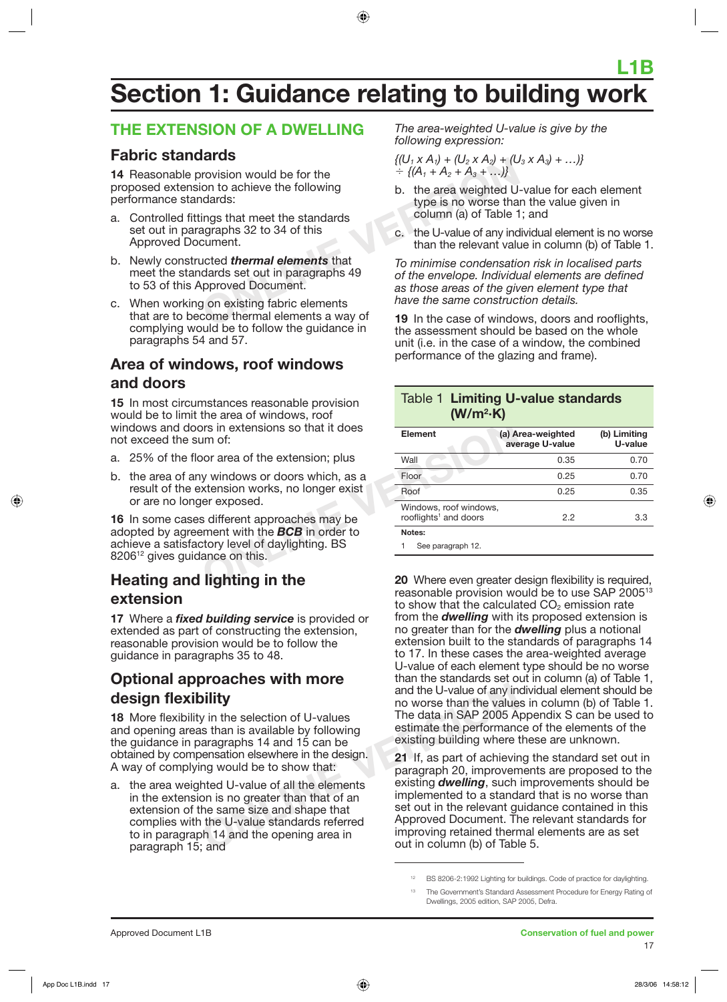## **L1B Section 1: Guidance relating to building work**

## **THE EXTENSION OF A DWELLING**

## **Fabric standards**

**14** Reasonable provision would be for the proposed extension to achieve the following performance standards:

- a. Controlled fittings that meet the standards set out in paragraphs 32 to 34 of this Approved Document.
- b. Newly constructed *thermal elements* that meet the standards set out in paragraphs 49 to 53 of this Approved Document.
- c. When working on existing fabric elements that are to become thermal elements a way of complying would be to follow the guidance in paragraphs 54 and 57.

## **Area of windows, roof windows and doors**

**15** In most circumstances reasonable provision would be to limit the area of windows, roof windows and doors in extensions so that it does not exceed the sum of:

- a. 25% of the floor area of the extension; plus
- b. the area of any windows or doors which, as a result of the extension works, no longer exist or are no longer exposed.

**16** In some cases different approaches may be adopted by agreement with the *BCB* in order to achieve a satisfactory level of daylighting. BS 8206<sup>12</sup> gives guidance on this.

## **Heating and lighting in the extension**

**17** Where a *fixed building service* is provided or extended as part of constructing the extension, reasonable provision would be to follow the guidance in paragraphs 35 to 48.

## **Optional approaches with more design flexibility**

**18** More flexibility in the selection of U-values and opening areas than is available by following the guidance in paragraphs 14 and 15 can be obtained by compensation elsewhere in the design. A way of complying would be to show that:

**ON DECITED WELL THEFT THE CONFORM THE CONFORM THE U-Value of any in<br>
the selection of U-values<br>
The data in SAP 2005 A<br>
stimate the performance<br>
aragraphs 14 and 15 can be<br>
ensation elsewhere in the design.<br>
Med U-value o** a. the area weighted U-value of all the elements in the extension is no greater than that of an extension of the same size and shape that complies with the U-value standards referred to in paragraph 14 and the opening area in paragraph 15; and

*The area-weighted U-value is give by the following expression:*

$$
{(U_1 \times A_1) + (U_2 \times A_2) + (U_3 \times A_3) + ...} \n+ { (A_1 + A_2 + A_3 + ...)} \n+ ... }
$$

- b. the area weighted U-value for each element type is no worse than the value given in column (a) of Table 1; and
- c. the U-value of any individual element is no worse than the relevant value in column (b) of Table 1.

**EXALCUTER CONTROVER CONTROVER CONTROVER CONTROVER CONTROVER CONTROVER CONTROVER CONTROVER CONTROVER CONTROVER CONTROVER CONTROVER CONTROVER CONTROVER CONTROVER CONTROVER CONTROVER CONTROVER CONTROVER CONTROVER CONTROVER** *To minimise condensation risk in localised parts of the envelope. Individual elements are defined as those areas of the given element type that have the same construction details.*

**19** In the case of windows, doors and rooflights, the assessment should be based on the whole unit (i.e. in the case of a window, the combined performance of the glazing and frame).

### Table 1 **Limiting U-value standards (W/m2 ·K)**

| ors in extensions so that it does<br>um of:     | <b>Element</b>                                              | (a) Area-weighted<br>average U-value | (b) Limiting<br>U-value |  |
|-------------------------------------------------|-------------------------------------------------------------|--------------------------------------|-------------------------|--|
| oor area of the extension; plus                 | Wall                                                        | 0.35                                 | 0.70                    |  |
| y windows or doors which, as a                  | Floor                                                       | 0.25                                 | 0.70                    |  |
| xtension works, no longer exist                 | Roof                                                        | 0.25                                 | 0.35                    |  |
| er exposed.<br>s different approaches may be    | Windows, roof windows,<br>rooflights <sup>1</sup> and doors | 2.2                                  | 3.3                     |  |
| ement with the $BCB$ in order to                | Notes:                                                      |                                      |                         |  |
| ctory level of daylighting. BS<br>ance on this. | See paragraph 12.                                           |                                      |                         |  |
| lighting in the                                 | 20 Where even greater design flexibility is required,       |                                      |                         |  |

**20** Where even greater design flexibility is required, reasonable provision would be to use SAP 200513 to show that the calculated  $CO<sub>2</sub>$  emission rate from the *dwelling* with its proposed extension is no greater than for the *dwelling* plus a notional extension built to the standards of paragraphs 14 to 17. In these cases the area-weighted average U-value of each element type should be no worse than the standards set out in column (a) of Table 1, and the U-value of any individual element should be no worse than the values in column (b) of Table 1. The data in SAP 2005 Appendix S can be used to estimate the performance of the elements of the existing building where these are unknown.

**21** If, as part of achieving the standard set out in paragraph 20, improvements are proposed to the existing *dwelling*, such improvements should be implemented to a standard that is no worse than set out in the relevant quidance contained in this Approved Document. The relevant standards for improving retained thermal elements are as set out in column (b) of Table 5.

<sup>12</sup> BS 8206-2:1992 Lighting for buildings. Code of practice for daylighting.

The Government's Standard Assessment Procedure for Energy Rating of Dwellings, 2005 edition, SAP 2005, Defra.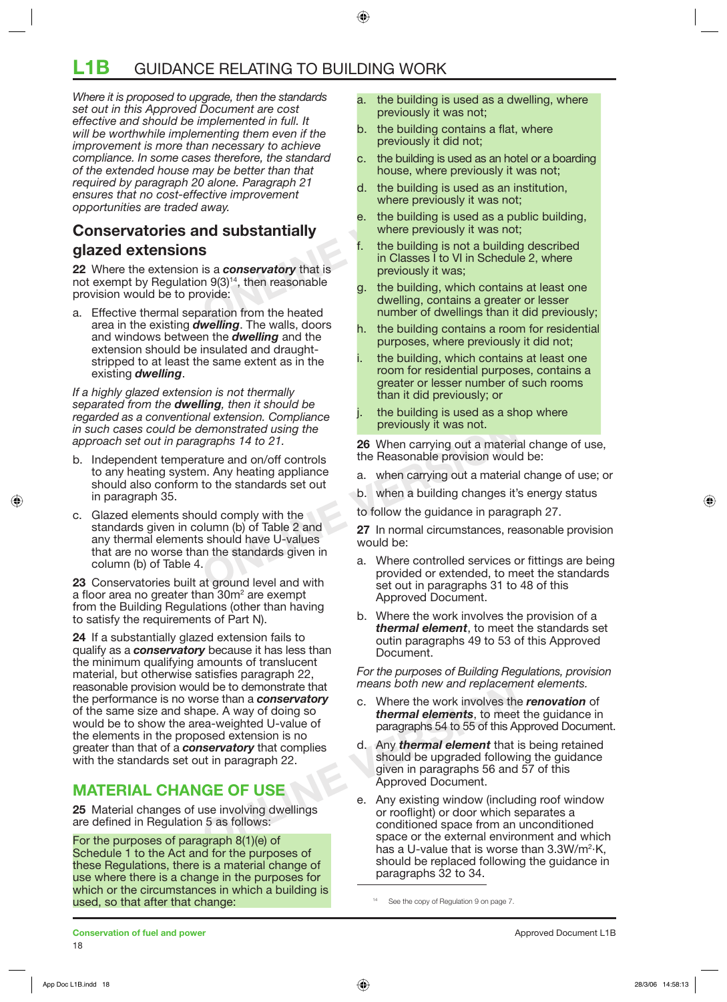## **L1B** GUIDANCE RELATING TO BUILDING WORK

Example the standard c. the building is used as an not<br>allow be better than that<br>allows. Where previously it variable<br>alway.<br>**ONLINERENT CONCITED ASSES AND SERVANDE S**<br>**C.** the building is used as an in<br>where previously it *Where it is proposed to upgrade, then the standards set out in this Approved Document are cost effective and should be implemented in full. It will be worthwhile implementing them even if the improvement is more than necessary to achieve compliance. In some cases therefore, the standard of the extended house may be better than that required by paragraph 20 alone. Paragraph 21 ensures that no cost-effective improvement opportunities are traded away.*

## **Conservatories and substantially glazed extensions**

**22** Where the extension is a *conservatory* that is not exempt by Regulation  $9(3)^{14}$ , then reasonable provision would be to provide:

a. Effective thermal separation from the heated area in the existing *dwelling*. The walls, doors and windows between the *dwelling* and the extension should be insulated and draughtstripped to at least the same extent as in the existing *dwelling*.

*If a highly glazed extension is not thermally separated from the dwelling, then it should be regarded as a conventional extension. Compliance in such cases could be demonstrated using the approach set out in paragraphs 14 to 21.* 

- b. Independent temperature and on/off controls to any heating system. Any heating appliance should also conform to the standards set out in paragraph 35.
- Forward Strategy and the total of the standards given in Any heating appliance<br>
In Any heating appliance<br>
In Any heating appliance<br>
In Any heating appliance<br>
In Any heating appliance<br>
In Any heating appliance<br>
In the stand c. Glazed elements should comply with the standards given in column (b) of Table 2 and any thermal elements should have U-values that are no worse than the standards given in column (b) of Table 4.

**23** Conservatories built at ground level and with a floor area no greater than 30m<sup>2</sup> are exempt from the Building Regulations (other than having to satisfy the requirements of Part N).

Id be to demonstrate that<br>
on new and replacement<br>
the exercise than a **conservatory**<br>
on new and replacement<br>
on the work involves the<br>
osed extension is no<br> **ONE**<br>
osed extension is no<br> **ONE**<br>
on the paragraphs 54 to 55 **24** If a substantially glazed extension fails to qualify as a *conservatory* because it has less than the minimum qualifying amounts of translucent material, but otherwise satisfies paragraph 22, reasonable provision would be to demonstrate that the performance is no worse than a *conservatory* of the same size and shape. A way of doing so would be to show the area-weighted U-value of the elements in the proposed extension is no greater than that of a *conservatory* that complies with the standards set out in paragraph 22.

## **MATERIAL CHANGE OF USE**

**25** Material changes of use involving dwellings are defined in Regulation 5 as follows:

For the purposes of paragraph 8(1)(e) of Schedule 1 to the Act and for the purposes of these Regulations, there is a material change of use where there is a change in the purposes for which or the circumstances in which a building is used, so that after that change:

- a. the building is used as a dwelling, where previously it was not;
- b. the building contains a flat, where previously it did not;
- c. the building is used as an hotel or a boarding house, where previously it was not;
- d. the building is used as an institution, where previously it was not:
- e. the building is used as a public building, where previously it was not;
- the building is not a building described in Classes I to VI in Schedule 2, where previously it was;
- g. the building, which contains at least one dwelling, contains a greater or lesser number of dwellings than it did previously;
- h. the building contains a room for residential purposes, where previously it did not;
- the building, which contains at least one room for residential purposes, contains a greater or lesser number of such rooms than it did previously; or
- the building is used as a shop where previously it was not.

**26** When carrying out a material change of use, the Reasonable provision would be:

- a. when carrying out a material change of use; or
- b. when a building changes it's energy status

to follow the guidance in paragraph 27.

**27** In normal circumstances, reasonable provision would be:

- a. Where controlled services or fittings are being provided or extended, to meet the standards set out in paragraphs 31 to 48 of this Approved Document.
- b. Where the work involves the provision of a *thermal element*, to meet the standards set outin paragraphs 49 to 53 of this Approved Document.

*For the purposes of Building Regulations, provision means both new and replacement elements.* 

- c. Where the work involves the *renovation* of *thermal elements*, to meet the guidance in paragraphs 54 to 55 of this Approved Document.
- d. Any *thermal element* that is being retained should be upgraded following the guidance given in paragraphs 56 and 57 of this Approved Document.
- e. Any existing window (including roof window or rooflight) or door which separates a conditioned space from an unconditioned space or the external environment and which has a U-value that is worse than  $3.3W/m^2$ ·K, should be replaced following the guidance in paragraphs 32 to 34.

14 See the copy of Regulation 9 on page 7.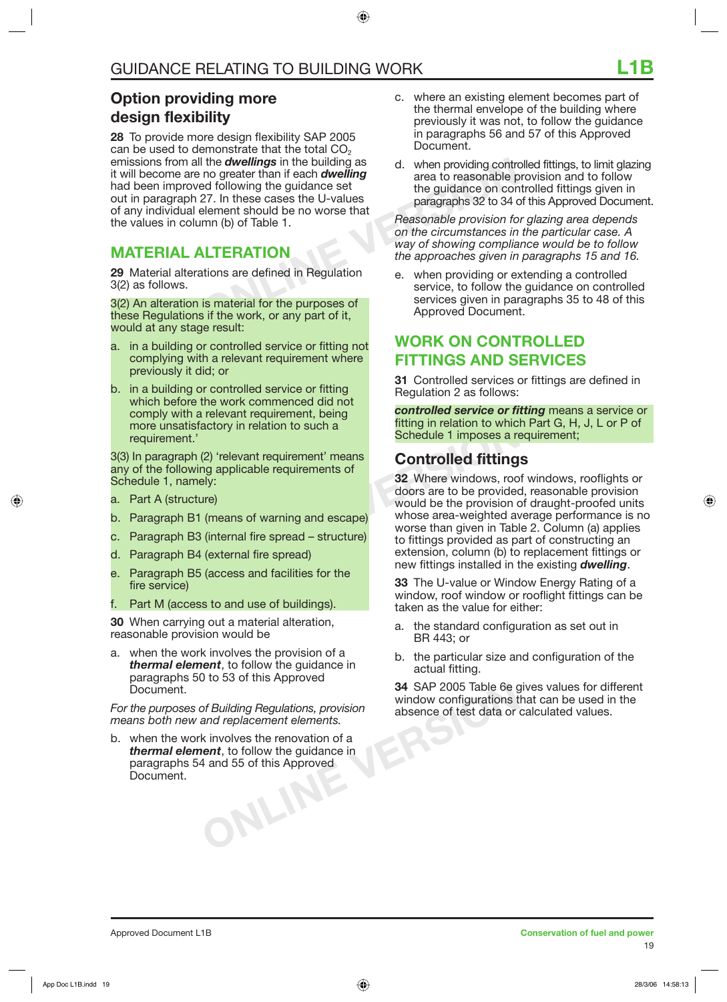## **Option providing more design flexibility**

For the **Calcularity** on the building as the building and the divelling and the guidance set than if each **dwelling** the guidance set the guidance on conservation of the guidance on conservation of the guidance on conserva **28** To provide more design flexibility SAP 2005 can be used to demonstrate that the total  $CO<sub>2</sub>$ emissions from all the *dwellings* in the building as it will become are no greater than if each *dwelling* had been improved following the guidance set out in paragraph 27. In these cases the U-values of any individual element should be no worse that the values in column (b) of Table 1.

## **MATERIAL ALTERATION**

**29** Material alterations are defined in Regulation 3(2) as follows.

3(2) An alteration is material for the purposes of these Regulations if the work, or any part of it, would at any stage result:

- a. in a building or controlled service or fitting not complying with a relevant requirement where previously it did; or
- b. in a building or controlled service or fitting which before the work commenced did not comply with a relevant requirement, being more unsatisfactory in relation to such a requirement.'

3(3) In paragraph (2) 'relevant requirement' means any of the following applicable requirements of Schedule 1, namely:

- a. Part A (structure)
- b. Paragraph B1 (means of warning and escape)
- c. Paragraph B3 (internal fire spread structure)
- d. Paragraph B4 (external fire spread)
- e. Paragraph B5 (access and facilities for the fire service)
- Part M (access to and use of buildings).

**30** When carrying out a material alteration, reasonable provision would be

a. when the work involves the provision of a *thermal element*, to follow the guidance in paragraphs 50 to 53 of this Approved Document.

*For the purposes of Building Regulations, provision means both new and replacement elements.*

ONLINE b. when the work involves the renovation of a *thermal element*, to follow the guidance in paragraphs 54 and 55 of this Approved Document.

- c. where an existing element becomes part of the thermal envelope of the building where previously it was not, to follow the guidance in paragraphs 56 and 57 of this Approved Document.
- d. when providing controlled fittings, to limit glazing area to reasonable provision and to follow the guidance on controlled fittings given in paragraphs 32 to 34 of this Approved Document.

*Reasonable provision for glazing area depends on the circumstances in the particular case. A way of showing compliance would be to follow the approaches given in paragraphs 15 and 16.*

e. when providing or extending a controlled service, to follow the guidance on controlled services given in paragraphs 35 to 48 of this Approved Document.

## **WORK ON CONTROLLED FITTINGS AND SERVICES**

**31** Controlled services or fittings are defined in Regulation 2 as follows:

*controlled service or fitting* means a service or fitting in relation to which Part G, H, J, L or P of Schedule 1 imposes a requirement;

## **Controlled fittings**

actory in relation to such a<br>
(2) 'relevant requirement' means<br>
ng applicable requirements of<br>
ely:<br>
(means of warning and escape)<br>
(internal fire spread – structure)<br>
(external fire spread)<br>
(access and facilities for the **32** Where windows, roof windows, rooflights or doors are to be provided, reasonable provision would be the provision of draught-proofed units whose area-weighted average performance is no worse than given in Table 2. Column (a) applies to fittings provided as part of constructing an extension, column (b) to replacement fittings or new fittings installed in the existing *dwelling*.

**33** The U-value or Window Energy Rating of a window, roof window or rooflight fittings can be taken as the value for either:

- a. the standard configuration as set out in BR 443; or
- b. the particular size and configuration of the actual fitting.

**34** SAP 2005 Table 6e gives values for different window configurations that can be used in the absence of test data or calculated values.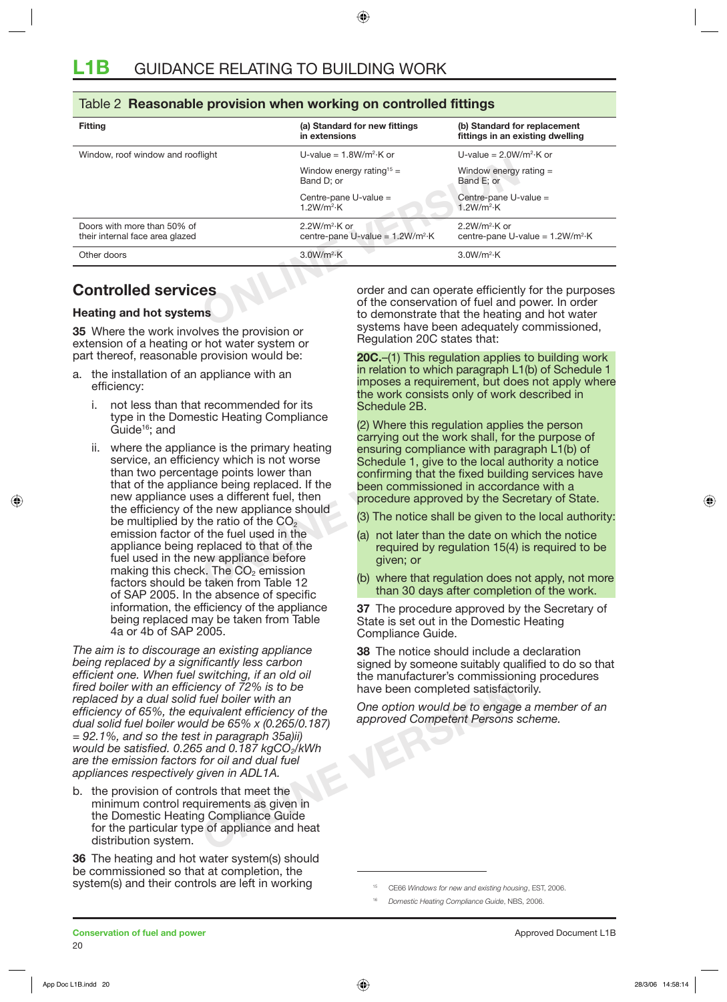### Table 2 **Reasonable provision when working on controlled fittings**

| <b>Fitting</b>                                                 | (a) Standard for new fittings<br>in extensions       | (b) Standard for replacement<br>fittings in an existing dwelling                                                                                                                                     |
|----------------------------------------------------------------|------------------------------------------------------|------------------------------------------------------------------------------------------------------------------------------------------------------------------------------------------------------|
| Window, roof window and rooflight                              | U-value = $1.8W/m^2$ K or                            |                                                                                                                                                                                                      |
|                                                                | Window energy rating <sup>15</sup> =<br>Band D; or   | Window energy rating $=$<br>Band E; or                                                                                                                                                               |
|                                                                | Centre-pane U-value =<br>1.2W/m <sup>2</sup> ·K      | Centre-pane U-value =<br>1.2W/m <sup>2</sup> ·K                                                                                                                                                      |
| Doors with more than 50% of<br>their internal face area glazed | $2.2W/m2·K$ or<br>centre-pane U-value = $1.2W/m^2$ K | $2.2W/m2·K$ or<br>centre-pane U-value = $1.2W/m^2$ K                                                                                                                                                 |
| Other doors                                                    | 3.0W/m <sup>2</sup> ·K                               | 3.0W/m <sup>2</sup> ·K                                                                                                                                                                               |
| <b>Controlled services</b><br><b>Heating and hot systems</b>   |                                                      | order and can operate efficiently for the purposes<br>of the conservation of fuel and power. In order<br>to demonstrate that the heating and hot water<br>systems have been adoptistely commissioned |

## **Controlled services**

### **Heating and hot systems**

**35** Where the work involves the provision or extension of a heating or hot water system or part thereof, reasonable provision would be:

- a. the installation of an appliance with an efficiency:
	- i. not less than that recommended for its type in the Domestic Heating Compliance  $\mathrm{Guide^{16}}$ ; and
	- Can be the primary heating<br>
	(2) Where this regulation applies<br>
	note is the primary heating<br>
	may which is not worse<br>
	schedule 1, give to the local au<br>
	age points lower than<br>
	note being replaced. If the<br>
	esa a different fue ii. where the appliance is the primary heating service, an efficiency which is not worse than two percentage points lower than that of the appliance being replaced. If the new appliance uses a different fuel, then the efficiency of the new appliance should be multiplied by the ratio of the CO<sub>2</sub> emission factor of the fuel used in the appliance being replaced to that of the fuel used in the new appliance before making this check. The  $CO<sub>2</sub>$  emission factors should be taken from Table 12 of SAP 2005. In the absence of specific information, the efficiency of the appliance being replaced may be taken from Table 4a or 4b of SAP 2005.

**Example 19 Set of 72% is to be**<br>
fuel boiler with an<br>
univalent efficiency of the One option would be to engage<br>
Id be 65% x (0.265/0.187) approved Competent Persons s<br>
in paragraph 35a)ii)<br>
is and 0.187 kgCO<sub>2</sub>/kWh<br>
for *The aim is to discourage an existing appliance being replaced by a significantly less carbon efficient one. When fuel switching, if an old oil fired boiler with an efficiency of 72% is to be replaced by a dual solid fuel boiler with an efficiency of 65%, the equivalent efficiency of the dual solid fuel boiler would be 65% x (0.265/0.187) = 92.1%, and so the test in paragraph 35a)ii) would be satisfied. 0.265 and 0.187 kgCO*<sub>2</sub>/kWh *are the emission factors for oil and dual fuel appliances respectively given in ADL1A.* 

b. the provision of controls that meet the minimum control requirements as given in the Domestic Heating Compliance Guide for the particular type of appliance and heat distribution system.

**36** The heating and hot water system(s) should be commissioned so that at completion, the system(s) and their controls are left in working

order and can operate efficiently for the purposes of the conservation of fuel and power. In order to demonstrate that the heating and hot water systems have been adequately commissioned, Regulation 20C states that:

**20C.**–(1) This regulation applies to building work in relation to which paragraph L1(b) of Schedule 1 imposes a requirement, but does not apply where the work consists only of work described in Schedule 2B.

(2) Where this regulation applies the person carrying out the work shall, for the purpose of ensuring compliance with paragraph L1(b) of Schedule 1, give to the local authority a notice confirming that the fixed building services have been commissioned in accordance with a procedure approved by the Secretary of State.

(3) The notice shall be given to the local authority:

- (a) not later than the date on which the notice required by regulation 15(4) is required to be given; or
- (b) where that regulation does not apply, not more than 30 days after completion of the work.

**37** The procedure approved by the Secretary of State is set out in the Domestic Heating Compliance Guide.

**38** The notice should include a declaration signed by someone suitably qualified to do so that the manufacturer's commissioning procedures have been completed satisfactorily.

*One option would be to engage a member of an approved Competent Persons scheme.* 

<sup>16</sup> *Domestic Heating Compliance Guide*, NBS, 2006.

<sup>15</sup> CE66 *Windows for new and existing housing*, EST, 2006.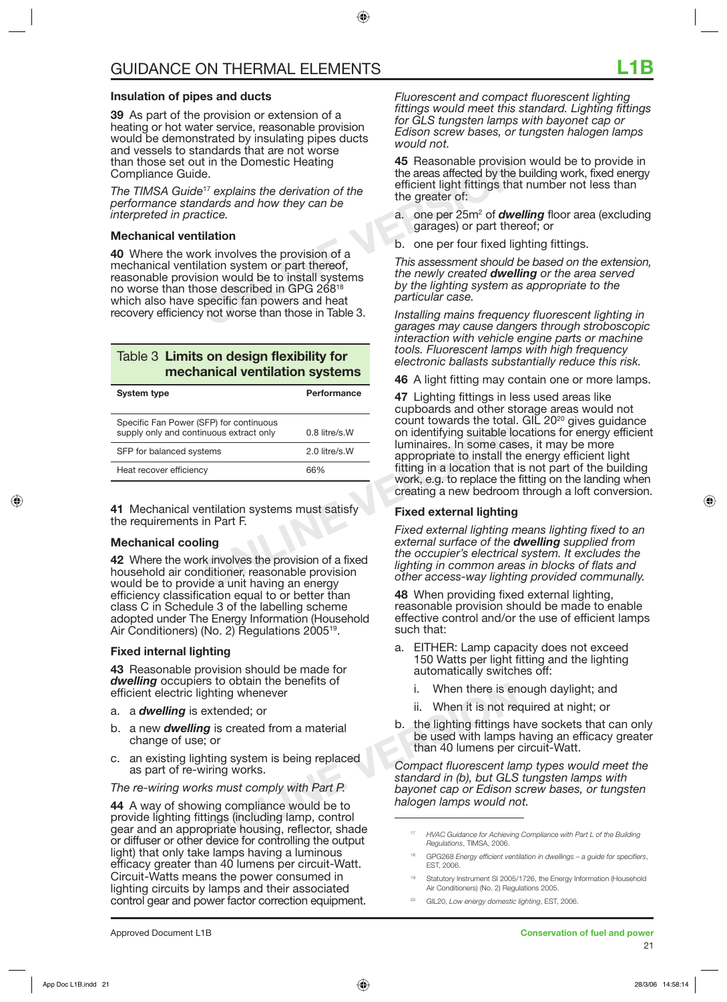### **Insulation of pipes and ducts**

**39** As part of the provision or extension of a heating or hot water service, reasonable provision would be demonstrated by insulating pipes ducts and vessels to standards that are not worse than those set out in the Domestic Heating Compliance Guide.

*The TIMSA Guide*<sup>17</sup> *explains the derivation of the performance standards and how they can be interpreted in practice.*

### **Mechanical ventilation**

the Domestic Heating<br>
at in the Domestic Heating<br>
<sup>17</sup> explains the derivation of the<br>
dards and how they can be<br>
citice.<br> **CONLIGE:**<br> **ONLIGE:**<br> **ONLIGE:**<br> **ONLIGE:**<br> **ONLIGE:**<br> **ONLIGE:**<br> **ONLIGE:**<br> **ONLIGE:**<br> **ONLIGE:**<br> **40** Where the work involves the provision of a mechanical ventilation system or part thereof, reasonable provision would be to install systems no worse than those described in GPG 26818 which also have specific fan powers and heat recovery efficiency not worse than those in Table 3.

### Table 3 **Limits on design flexibility for mechanical ventilation systems**

| <b>System type</b>                                                                 | Performance     |
|------------------------------------------------------------------------------------|-----------------|
| Specific Fan Power (SFP) for continuous<br>supply only and continuous extract only | $0.8$ litre/s.W |
| SFP for balanced systems                                                           | 2.0 litre/s.W   |
| Heat recover efficiency                                                            | 66%             |

**41** Mechanical ventilation systems must satisfy the requirements in Part F.

### **Mechanical cooling**

**42** Where the work involves the provision of a fixed household air conditioner, reasonable provision would be to provide a unit having an energy efficiency classification equal to or better than class C in Schedule 3 of the labelling scheme adopted under The Energy Information (Household Air Conditioners) (No. 2) Regulations 2005<sup>19</sup>.

### **Fixed internal lighting**

**43** Reasonable provision should be made for *dwelling* occupiers to obtain the benefits of efficient electric lighting whenever

- a. a *dwelling* is extended; or
- b. a new *dwelling* is created from a material change of use; or
- c. an existing lighting system is being replaced as part of re-wiring works.

*The re-wiring works must comply with Part P.*

**Example 18 and 18 and 18 and 18 and 18 and 18 and 18 and 18 and 18 and 18 and 18 and 18 and 18 and 18 and 18 and 18 and 18 and 18 and 18 and 18 and 18 and 18 and 18 and 18 and 18 and 18 and 18 and 18 and 18 and 18 and 18 44** A way of showing compliance would be to provide lighting fittings (including lamp, control gear and an appropriate housing, reflector, shade or diffuser or other device for controlling the output light) that only take lamps having a luminous efficacy greater than 40 lumens per circuit-Watt. Circuit-Watts means the power consumed in lighting circuits by lamps and their associated control gear and power factor correction equipment.

*Fluorescent and compact fluorescent lighting fittings would meet this standard. Lighting fittings for GLS tungsten lamps with bayonet cap or Edison screw bases, or tungsten halogen lamps would not.*

**45** Reasonable provision would be to provide in the areas affected by the building work, fixed energy efficient light fittings that number not less than the greater of:

- a. one per 25m<sup>2</sup> of *dwelling* floor area (excluding garages) or part thereof; or
- b. one per four fixed lighting fittings.

*This assessment should be based on the extension, the newly created dwelling or the area served by the lighting system as appropriate to the particular case.*

*Installing mains frequency fluorescent lighting in garages may cause dangers through stroboscopic interaction with vehicle engine parts or machine tools. Fluorescent lamps with high frequency electronic ballasts substantially reduce this risk.* 

**46** A light fitting may contain one or more lamps.

SFP) for continuous<br>
inuous extract only<br>
tems<br>
2.0 litre/s.W<br>
COUNT TOWARDS the UGIAL<br>
COUNT TOWARDS the UGIAL<br>
Internal on identifying suitable loo<br>
luminaires. In some case<br>
appropriate to install the<br>
fitting in a loca **47** Lighting fittings in less used areas like cupboards and other storage areas would not count towards the total. GIL  $20^{20}$  gives guidance on identifying suitable locations for energy efficient luminaires. In some cases, it may be more appropriate to install the energy efficient light fitting in a location that is not part of the building work, e.g. to replace the fitting on the landing when creating a new bedroom through a loft conversion.

### **Fixed external lighting**

*Fixed external lighting means lighting fixed to an external surface of the dwelling supplied from the occupier's electrical system. It excludes the lighting in common areas in blocks of flats and other access-way lighting provided communally.*

**48** When providing fixed external lighting, reasonable provision should be made to enable effective control and/or the use of efficient lamps such that:

- a. EITHER: Lamp capacity does not exceed 150 Watts per light fitting and the lighting automatically switches off:
	- i. When there is enough daylight; and
	- ii. When it is not required at night; or
- b. the lighting fittings have sockets that can only be used with lamps having an efficacy greater than 40 lumens per circuit-Watt.

*Compact fluorescent lamp types would meet the standard in (b), but GLS tungsten lamps with bayonet cap or Edison screw bases, or tungsten halogen lamps would not.*

- <sup>17</sup> *HVAC Guidance for Achieving Compliance with Part L of the Building Regulations*, TIMSA, 2006.
- 18 GPG268 *Energy efficient ventilation in dwellings a guide for specifiers*, EST, 2006.
- Statutory Instrument SI 2005/1726, the Energy Information (Household Air Conditioners) (No. 2) Regulations 2005.
- 20 GIL20, *Low energy domestic lighting*, EST, 2006.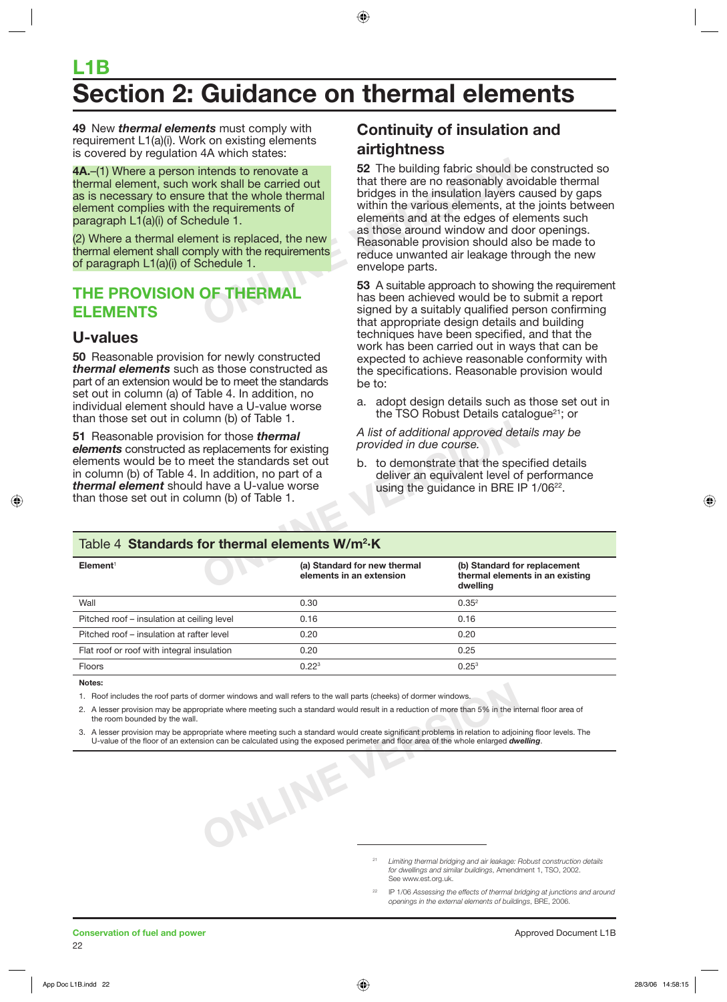# **L1B Section 2: Guidance on thermal elements**

**49** New *thermal elements* must comply with requirement L1(a)(i). Work on existing elements is covered by regulation 4A which states:

**4A.**–(1) Where a person intends to renovate a thermal element, such work shall be carried out as is necessary to ensure that the whole thermal element complies with the requirements of paragraph L1(a)(i) of Schedule 1.

(2) Where a thermal element is replaced, the new thermal element shall comply with the requirements of paragraph L1(a)(i) of Schedule 1.

## **THE PROVISION OF THERMAL ELEMENTS**

### **U-values**

**50** Reasonable provision for newly constructed *thermal elements* such as those constructed as part of an extension would be to meet the standards set out in column (a) of Table 4. In addition, no individual element should have a U-value worse than those set out in column (b) of Table 1.

## **Continuity of insulation and airtightness**

The movate a<br>
ork shall be carried out<br>
that there are no reasonably ave<br>
that the whole thermal<br>
oridges in the insulation layers<br>
in the various elements, at<br>
elements and at the edges of e<br>
as those around window and de **52** The building fabric should be constructed so that there are no reasonably avoidable thermal bridges in the insulation layers caused by gaps within the various elements, at the joints between elements and at the edges of elements such as those around window and door openings. Reasonable provision should also be made to reduce unwanted air leakage through the new envelope parts.

**53** A suitable approach to showing the requirement has been achieved would be to submit a report signed by a suitably qualified person confirming that appropriate design details and building techniques have been specified, and that the work has been carried out in ways that can be expected to achieve reasonable conformity with the specifications. Reasonable provision would be to:

a. adopt design details such as those set out in the TSO Robust Details catalogue $21$ ; or

### Table 4 **Standards for thermal elements W/m2 ·K**

| than those set out in column (b) or rable in                                                                                                                                                                                                                                                                   |      |                                                                                                                                                 |                                                                             |  |
|----------------------------------------------------------------------------------------------------------------------------------------------------------------------------------------------------------------------------------------------------------------------------------------------------------------|------|-------------------------------------------------------------------------------------------------------------------------------------------------|-----------------------------------------------------------------------------|--|
| 51 Reasonable provision for those thermal<br>elements constructed as replacements for existing<br>elements would be to meet the standards set out<br>in column (b) of Table 4. In addition, no part of a<br><b>thermal element</b> should have a U-value worse<br>than those set out in column (b) of Table 1. |      | A list of additional approved details may be<br>provided in due course.                                                                         |                                                                             |  |
|                                                                                                                                                                                                                                                                                                                |      | b. to demonstrate that the specified details<br>deliver an equivalent level of performance<br>using the guidance in BRE IP 1/06 <sup>22</sup> . |                                                                             |  |
| Table 4 Standards for thermal elements W/m <sup>2</sup> ·K                                                                                                                                                                                                                                                     |      |                                                                                                                                                 |                                                                             |  |
|                                                                                                                                                                                                                                                                                                                |      |                                                                                                                                                 |                                                                             |  |
| Element <sup>1</sup>                                                                                                                                                                                                                                                                                           |      | (a) Standard for new thermal<br>elements in an extension                                                                                        | (b) Standard for replacement<br>thermal elements in an existing<br>dwelling |  |
| Wall                                                                                                                                                                                                                                                                                                           | 0.30 |                                                                                                                                                 | 0.35 <sup>2</sup>                                                           |  |
| Pitched roof – insulation at ceiling level                                                                                                                                                                                                                                                                     | 0.16 |                                                                                                                                                 | 0.16                                                                        |  |
| Pitched roof – insulation at rafter level                                                                                                                                                                                                                                                                      | 0.20 |                                                                                                                                                 | 0.20                                                                        |  |
| Flat roof or roof with integral insulation                                                                                                                                                                                                                                                                     | 0.20 |                                                                                                                                                 | 0.25                                                                        |  |

#### **Notes:**

1. Roof includes the roof parts of dormer windows and wall refers to the wall parts (cheeks) of dormer windows.

**ONLINE VERSION**

2. A lesser provision may be appropriate where meeting such a standard would result in a reduction of more than 5% in the internal floor area of the room bounded by the wall.

3. A lesser provision may be appropriate where meeting such a standard would create significant problems in relation to adjoining floor levels. The U-value of the floor of an extension can be calculated using the exposed perimeter and floor area of the whole enlarged *dwelling*.

<sup>21</sup> *Limiting thermal bridging and air leakage: Robust construction details for dwellings and similar buildings*, Amendment 1, TSO, 2002. See www.est.org.uk.

<sup>22</sup> IP 1/06 *Assessing the effects of thermal bridging at junctions and around openings in the external elements of buildings*, BRE, 2006.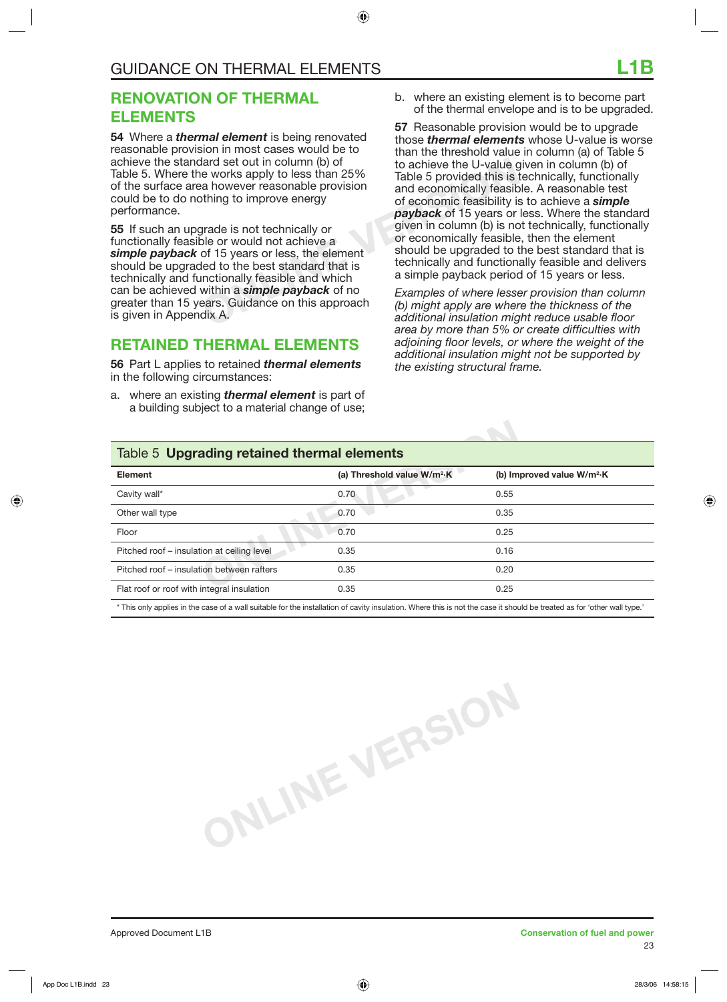## **RENOVATION OF THERMAL ELEMENTS**

**54** Where a *thermal element* is being renovated reasonable provision in most cases would be to achieve the standard set out in column (b) of Table 5. Where the works apply to less than 25% of the surface area however reasonable provision could be to do nothing to improve energy performance.

and set out in column (b) of<br>
e works apply to less than 25% Table 5 provided this is<br>
a however reasonable provision<br>
of a conomically feasiblity is<br>
of economic feasibility is<br>
of economic feasibility<br>
of economic feasib **55** If such an upgrade is not technically or functionally feasible or would not achieve a *simple payback* of 15 years or less, the element should be upgraded to the best standard that is technically and functionally feasible and which can be achieved within a *simple payback* of no greater than 15 years. Guidance on this approach is given in Appendix A.

## **RETAINED THERMAL ELEMENTS**

**56** Part L applies to retained *thermal elements* in the following circumstances:

a. where an existing *thermal element* is part of a building subject to a material change of use; b. where an existing element is to become part of the thermal envelope and is to be upgraded.

**57** Reasonable provision would be to upgrade those *thermal elements* whose U-value is worse than the threshold value in column (a) of Table 5 to achieve the U-value given in column (b) of Table 5 provided this is technically, functionally and economically feasible. A reasonable test of economic feasibility is to achieve a *simple payback* of 15 years or less. Where the standard given in column (b) is not technically, functionally or economically feasible, then the element should be upgraded to the best standard that is technically and functionally feasible and delivers a simple payback period of 15 years or less.

*Examples of where lesser provision than column (b) might apply are where the thickness of the additional insulation might reduce usable floor area by more than 5% or create difficulties with adjoining floor levels, or where the weight of the additional insulation might not be supported by the existing structural frame.* 

### Table 5 **Upgrading retained thermal elements**

| Table 5 Upgrading retained thermal elements |                                         |                              |
|---------------------------------------------|-----------------------------------------|------------------------------|
| Element                                     | (a) Threshold value W/m <sup>2</sup> ·K | (b) Improved value $W/m^2$ K |
| Cavity wall*                                | 0.70                                    | 0.55                         |
| Other wall type                             | 0.70                                    | 0.35                         |
| Floor                                       | 0.70                                    | 0.25                         |
| Pitched roof – insulation at ceiling level  | 0.35                                    | 0.16                         |
| Pitched roof – insulation between rafters   | 0.35                                    | 0.20                         |
| Flat roof or roof with integral insulation  | 0.35                                    | 0.25                         |

\* This only applies in the case of a wall suitable for the installation of cavity insulation. Where this is not the case it should be treated as for 'other wall type.'

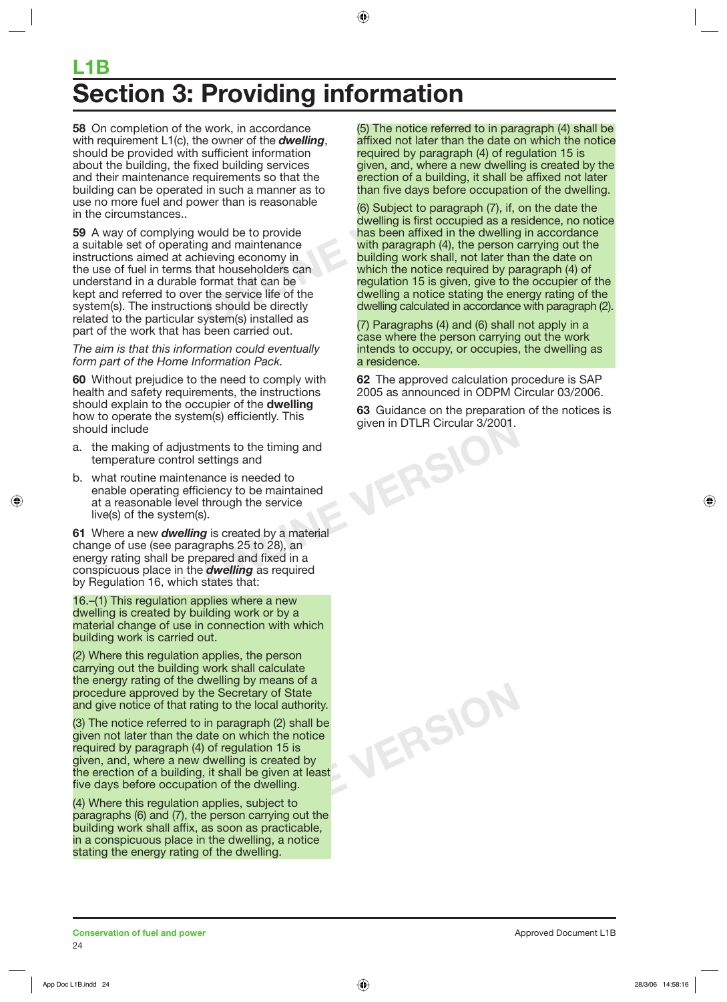# **L1B Section 3: Providing information**

**58** On completion of the work, in accordance with requirement L1(c), the owner of the *dwelling*, should be provided with sufficient information about the building, the fixed building services and their maintenance requirements so that the building can be operated in such a manner as to use no more fuel and power than is reasonable in the circumstances..

**59** A way of complying would be to provide a suitable set of operating and maintenance instructions aimed at achieving economy in the use of fuel in terms that householders can understand in a durable format that can be kept and referred to over the service life of the system(s). The instructions should be directly related to the particular system(s) installed as part of the work that has been carried out.

*The aim is that this information could eventually form part of the Home Information Pack.*

**60** Without prejudice to the need to comply with health and safety requirements, the instructions should explain to the occupier of the **dwelling** how to operate the system(s) efficiently. This should include

- a. the making of adjustments to the timing and temperature control settings and
- b. what routine maintenance is needed to enable operating efficiency to be maintained at a reasonable level through the service live(s) of the system(s).

**61** Where a new *dwelling* is created by a material change of use (see paragraphs 25 to 28), an energy rating shall be prepared and fixed in a conspicuous place in the *dwelling* as required by Regulation 16, which states that:

16.–(1) This regulation applies where a new dwelling is created by building work or by a material change of use in connection with which building work is carried out.

(2) Where this regulation applies, the person carrying out the building work shall calculate the energy rating of the dwelling by means of a procedure approved by the Secretary of State and give notice of that rating to the local authority.

(3) The notice referred to in paragraph (2) shall be given not later than the date on which the notice required by paragraph (4) of regulation 15 is given, and, where a new dwelling is created by the erection of a building, it shall be given at least five days before occupation of the dwelling.

(4) Where this regulation applies, subject to paragraphs (6) and (7), the person carrying out the building work shall affix, as soon as practicable, in a conspicuous place in the dwelling, a notice stating the energy rating of the dwelling.

(5) The notice referred to in paragraph (4) shall be affixed not later than the date on which the notice required by paragraph (4) of regulation 15 is given, and, where a new dwelling is created by the erection of a building, it shall be affixed not later than five days before occupation of the dwelling.

Example that the strong is that the strong in the strong in the strong in the strong in the strong in the strong in the strong in the strong strong in the strong strong in five days before occupation of a building, it shal (6) Subject to paragraph (7), if, on the date the dwelling is first occupied as a residence, no notice has been affixed in the dwelling in accordance with paragraph (4), the person carrying out the building work shall, not later than the date on which the notice required by paragraph (4) of regulation 15 is given, give to the occupier of the dwelling a notice stating the energy rating of the dwelling calculated in accordance with paragraph (2).

(7) Paragraphs (4) and (6) shall not apply in a case where the person carrying out the work intends to occupy, or occupies, the dwelling as a residence.

**62** The approved calculation procedure is SAP 2005 as announced in ODPM Circular 03/2006.

**ONLINE VERSION 63** Guidance on the preparation of the notices is given in DTLR Circular 3/2001.

**ONLINE VERSION**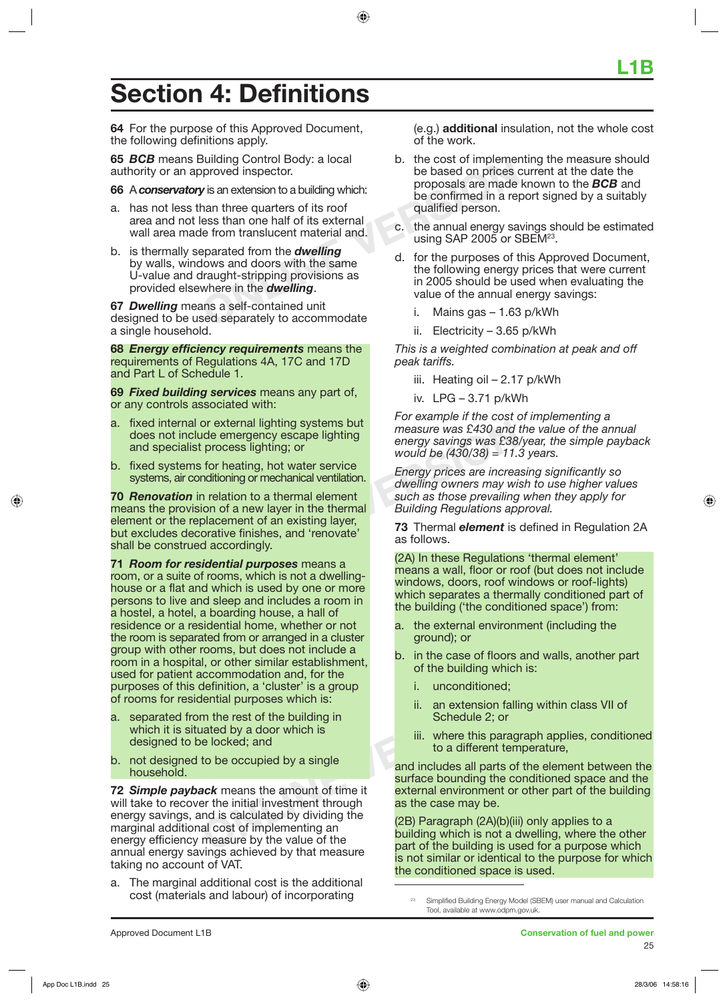# **Section 4: Definitions**

**64** For the purpose of this Approved Document, the following definitions apply.

**65** *BCB* means Building Control Body: a local authority or an approved inspector.

**66** A *conservatory* is an extension to a building which:

- a. has not less than three quarters of its roof area and not less than one half of its external wall area made from translucent material and.
- Building Control Body: a local<br>
proved inspector.<br> **V** is an extension to a building which:<br>
the cost of mplement<br>
be based on prices of<br>
the annual form is external<br>
le from translucent material and.<br>
exparated from the b. is thermally separated from the *dwelling* by walls, windows and doors with the same U-value and draught-stripping provisions as provided elsewhere in the *dwelling*.

**67** *Dwelling* means a self-contained unit designed to be used separately to accommodate a single household.

**68** *Energy efficiency requirements* means the requirements of Regulations 4A, 17C and 17D and Part L of Schedule 1.

**69** *Fixed building services* means any part of, or any controls associated with:

- a. fixed internal or external lighting systems but does not include emergency escape lighting and specialist process lighting; or
- b. fixed systems for heating, hot water service systems, air conditioning or mechanical ventilation.

From the emergency escape lighting<br>
inde emergency escape lighting<br>
inde emergency escape lighting<br>
inde emergency secape lighting<br>
in the emergy savings was £38<br>
would be (430/38) = 11.<br>
in relation to a thermal element<br> **70** *Renovation* in relation to a thermal element means the provision of a new layer in the thermal element or the replacement of an existing layer, but excludes decorative finishes, and 'renovate' shall be construed accordingly.

**71** *Room for residential purposes* means a room, or a suite of rooms, which is not a dwellinghouse or a flat and which is used by one or more persons to live and sleep and includes a room in a hostel, a hotel, a boarding house, a hall of residence or a residential home, whether or not the room is separated from or arranged in a cluster group with other rooms, but does not include a room in a hospital, or other similar establishment, used for patient accommodation and, for the purposes of this definition, a 'cluster' is a group of rooms for residential purposes which is:

- a. separated from the rest of the building in which it is situated by a door which is designed to be locked; and
- b. not designed to be occupied by a single household.

**ONLY A** Finition, a 'cluster' is a group<br>
lential purposes which is:<br>
ii. an extension falli<br>
m the rest of the building in<br>
lii. an extension falli<br>
Schedule 2; or<br>
iii. where this parag<br>
to a different term<br>
to be occup **72** *Simple payback* means the amount of time it will take to recover the initial investment through energy savings, and is calculated by dividing the marginal additional cost of implementing an energy efficiency measure by the value of the annual energy savings achieved by that measure taking no account of VAT.

a. The marginal additional cost is the additional cost (materials and labour) of incorporating

(e.g.) **additional** insulation, not the whole cost of the work.

- b. the cost of implementing the measure should be based on prices current at the date the proposals are made known to the *BCB* and be confirmed in a report signed by a suitably qualified person.
- c. the annual energy savings should be estimated using SAP 2005 or SBEM<sup>23</sup>.
- d. for the purposes of this Approved Document, the following energy prices that were current in 2005 should be used when evaluating the value of the annual energy savings:
	- i. Mains gas 1.63 p/kWh
	- ii. Electricity 3.65 p/kWh

*This is a weighted combination at peak and off peak tariffs.* 

- iii. Heating oil 2.17 p/kWh
- iv. LPG 3.71 p/kWh

*For example if the cost of implementing a measure was £430 and the value of the annual energy savings was £38/year, the simple payback would be (430/38) = 11.3 years.*

*Energy prices are increasing significantly so dwelling owners may wish to use higher values such as those prevailing when they apply for Building Regulations approval.*

**73** Thermal *element* is defined in Regulation 2A as follows.

(2A) In these Regulations 'thermal element' means a wall, floor or roof (but does not include windows, doors, roof windows or roof-lights) which separates a thermally conditioned part of the building ('the conditioned space') from:

- a. the external environment (including the ground); or
- b. in the case of floors and walls, another part of the building which is:
	- i. unconditioned;
	- ii. an extension falling within class VII of Schedule 2; or
	- iii. where this paragraph applies, conditioned to a different temperature,

and includes all parts of the element between the surface bounding the conditioned space and the external environment or other part of the building as the case may be.

(2B) Paragraph (2A)(b)(iii) only applies to a building which is not a dwelling, where the other part of the building is used for a purpose which is not similar or identical to the purpose for which the conditioned space is used.

Simplified Building Energy Model (SBEM) user manual and Calculation Tool, available at www.odpm.gov.uk.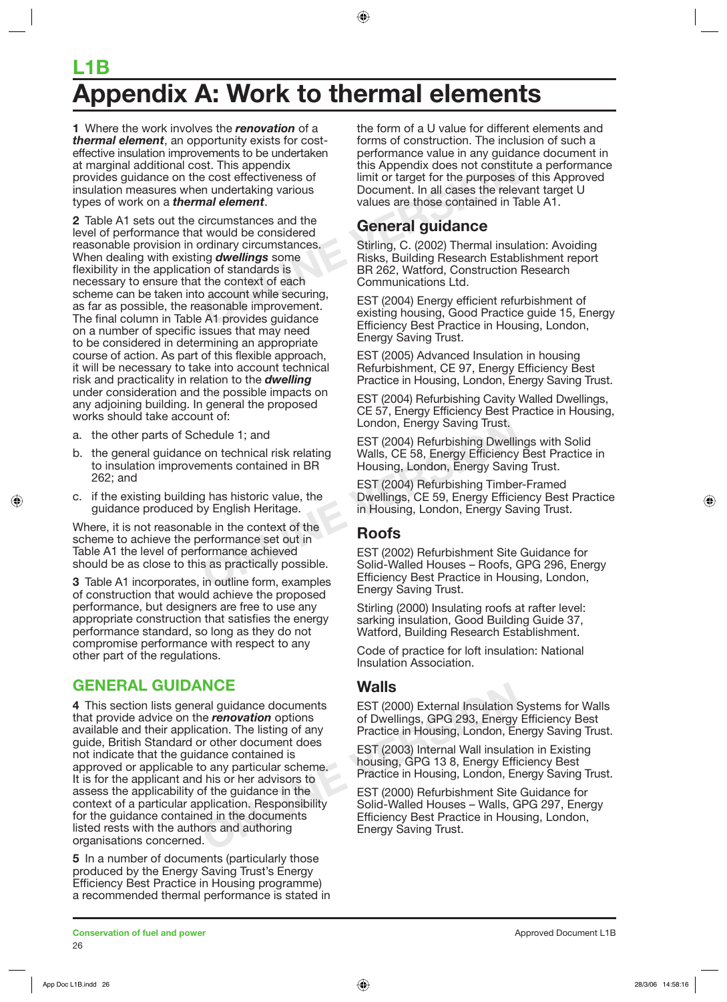# **L1B ADED FORM THE EXAMPLE EXAMPLE EXAMPLE EXAMPLE EXAMPLE EXAMPLE EXAMPLE EXAMPLE EXAMPLE EXAMPLE EXAMPLE EXAMPLE EXAMPLE EXAMPLE EXAMPLE EXAMPLE EXAMPLE EXAMPLE EXAMPLE EXAMPLE EXAMPLE EXAMPLE EXAMPLE EXAMPLE EXAMPLE EXAMPLE**

**1** Where the work involves the *renovation* of a *thermal element*, an opportunity exists for costeffective insulation improvements to be undertaken at marginal additional cost. This appendix provides guidance on the cost effectiveness of insulation measures when undertaking various types of work on a *thermal element*.

st. This appendix<br>
e cost effectiveness of<br>
in timit or target for the purposes<br>
in undertaking various<br> **ONCONCY CONCONCY THEORY CONCONCY**<br>
Extricumstances and the<br>
twould be considered<br>
values are those contained in Tai<br> **2** Table A1 sets out the circumstances and the level of performance that would be considered reasonable provision in ordinary circumstances. When dealing with existing *dwellings* some flexibility in the application of standards is necessary to ensure that the context of each scheme can be taken into account while securing, as far as possible, the reasonable improvement. The final column in Table A1 provides guidance on a number of specific issues that may need to be considered in determining an appropriate course of action. As part of this flexible approach, it will be necessary to take into account technical risk and practicality in relation to the *dwelling* under consideration and the possible impacts on any adjoining building. In general the proposed works should take account of:

- a. the other parts of Schedule 1; and
- b. the general guidance on technical risk relating to insulation improvements contained in BR 262; and
- c. if the existing building has historic value, the guidance produced by English Heritage.

Where, it is not reasonable in the context of the scheme to achieve the performance set out in Table A1 the level of performance achieved should be as close to this as practically possible.

**3** Table A1 incorporates, in outline form, examples of construction that would achieve the proposed performance, but designers are free to use any appropriate construction that satisfies the energy performance standard, so long as they do not compromise performance with respect to any other part of the regulations.

## **GENERAL GUIDANCE**

**Walls**<br>
ral guidance documents<br>
interaction options<br>
of Dwellings, GPG 293, Energy<br>
protion. The listing of any<br>
Practice in Housing, London, Er<br>
of the document does<br>
of the guidance in the<br>
of the guidance in the<br>
pract **4** This section lists general guidance documents that provide advice on the *renovation* options available and their application. The listing of any guide, British Standard or other document does not indicate that the guidance contained is approved or applicable to any particular scheme. It is for the applicant and his or her advisors to assess the applicability of the guidance in the context of a particular application. Responsibility for the guidance contained in the documents listed rests with the authors and authoring organisations concerned.

**5** In a number of documents (particularly those produced by the Energy Saving Trust's Energy Efficiency Best Practice in Housing programme) a recommended thermal performance is stated in the form of a U value for different elements and forms of construction. The inclusion of such a performance value in any guidance document in this Appendix does not constitute a performance limit or target for the purposes of this Approved Document. In all cases the relevant target U values are those contained in Table A1.

## **General guidance**

Stirling, C. (2002) Thermal insulation: Avoiding Risks, Building Research Establishment report BR 262, Watford, Construction Research Communications Ltd.

EST (2004) Energy efficient refurbishment of existing housing, Good Practice guide 15, Energy Efficiency Best Practice in Housing, London, Energy Saving Trust.

EST (2005) Advanced Insulation in housing Refurbishment, CE 97, Energy Efficiency Best Practice in Housing, London, Energy Saving Trust.

EST (2004) Refurbishing Cavity Walled Dwellings, CE 57, Energy Efficiency Best Practice in Housing, London, Energy Saving Trust.

EST (2004) Refurbishing Dwellings with Solid Walls, CE 58, Energy Efficiency Best Practice in Housing, London, Energy Saving Trust.

EST (2004) Refurbishing Timber-Framed Dwellings, CE 59, Energy Efficiency Best Practice in Housing, London, Energy Saving Trust.

## **Roofs**

London, Energy Saving Trust.<br>
London, Energy Saving Trust.<br>
CEST (2004) Refurbishing Dwellin<br>
ments contained in BR<br>
BR Housing, London, Energy Savin<br>
EST (2004) Refurbishing Timbe<br>
EST (2004) Refurbishing Timbe<br>
EST (2004 EST (2002) Refurbishment Site Guidance for Solid-Walled Houses – Roofs, GPG 296, Energy Efficiency Best Practice in Housing, London, Energy Saving Trust.

> Stirling (2000) Insulating roofs at rafter level: sarking insulation, Good Building Guide 37, Watford, Building Research Establishment.

Code of practice for loft insulation: National Insulation Association.

## **Walls**

EST (2000) External Insulation Systems for Walls of Dwellings, GPG 293, Energy Efficiency Best Practice in Housing, London, Energy Saving Trust.

EST (2003) Internal Wall insulation in Existing housing, GPG 13 8, Energy Efficiency Best Practice in Housing, London, Energy Saving Trust.

EST (2000) Refurbishment Site Guidance for Solid-Walled Houses – Walls, GPG 297, Energy Efficiency Best Practice in Housing, London, Energy Saving Trust.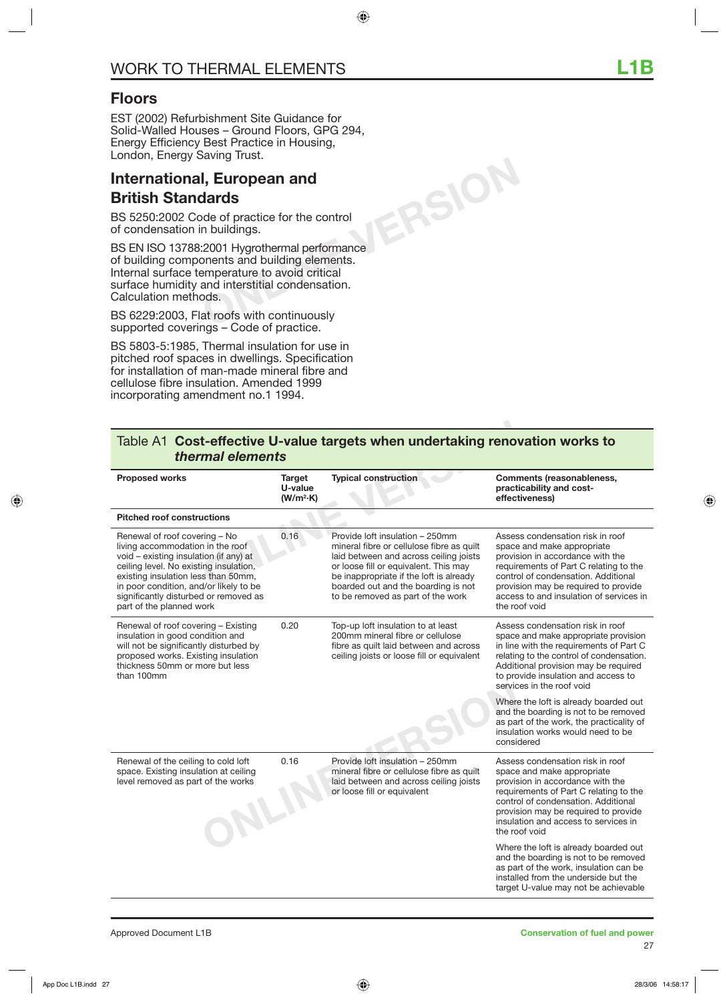## **Floors**

EST (2002) Refurbishment Site Guidance for Solid-Walled Houses – Ground Floors, GPG 294, Energy Efficiency Best Practice in Housing, London, Energy Saving Trust.

## **International, European and British Standards**

BS 5250:2002 Code of practice for the control of condensation in buildings.

BS EN ISO 13788:2001 Hygrothermal performance of building components and building elements. Internal surface temperature to avoid critical surface humidity and interstitial condensation. Calculation methods.

BS 6229:2003, Flat roofs with continuously supported coverings – Code of practice.

BS 5803-5:1985, Thermal insulation for use in pitched roof spaces in dwellings. Specification for installation of man-made mineral fibre and cellulose fibre insulation. Amended 1999 incorporating amendment no.1 1994.

|                                                                                                                                                                                                                                                                                                             |                                                   | Table A1 Cost-effective U-value targets when undertaking renovation works to                                                                                                                                                                                                           |                                                                                                                                                                                                                                                                                         |
|-------------------------------------------------------------------------------------------------------------------------------------------------------------------------------------------------------------------------------------------------------------------------------------------------------------|---------------------------------------------------|----------------------------------------------------------------------------------------------------------------------------------------------------------------------------------------------------------------------------------------------------------------------------------------|-----------------------------------------------------------------------------------------------------------------------------------------------------------------------------------------------------------------------------------------------------------------------------------------|
| thermal elements<br><b>Proposed works</b>                                                                                                                                                                                                                                                                   | <b>Target</b><br>U-value<br>(W/m <sup>2</sup> ·K) | <b>Typical construction</b>                                                                                                                                                                                                                                                            | <b>Comments (reasonableness,</b><br>practicability and cost-<br>effectiveness)                                                                                                                                                                                                          |
| <b>Pitched roof constructions</b>                                                                                                                                                                                                                                                                           |                                                   |                                                                                                                                                                                                                                                                                        |                                                                                                                                                                                                                                                                                         |
| Renewal of roof covering - No<br>living accommodation in the roof<br>void - existing insulation (if any) at<br>ceiling level. No existing insulation,<br>existing insulation less than 50mm,<br>in poor condition, and/or likely to be<br>significantly disturbed or removed as<br>part of the planned work | 0.16                                              | Provide loft insulation - 250mm<br>mineral fibre or cellulose fibre as quilt<br>laid between and across ceiling joists<br>or loose fill or equivalent. This may<br>be inappropriate if the loft is already<br>boarded out and the boarding is not<br>to be removed as part of the work | Assess condensation risk in roof<br>space and make appropriate<br>provision in accordance with the<br>requirements of Part C relating to the<br>control of condensation. Additional<br>provision may be required to provide<br>access to and insulation of services in<br>the roof void |
| Renewal of roof covering - Existing<br>insulation in good condition and<br>will not be significantly disturbed by<br>proposed works. Existing insulation<br>thickness 50mm or more but less<br>than 100mm                                                                                                   | 0.20                                              | Top-up loft insulation to at least<br>200mm mineral fibre or cellulose<br>fibre as quilt laid between and across<br>ceiling joists or loose fill or equivalent                                                                                                                         | Assess condensation risk in roof<br>space and make appropriate provision<br>in line with the requirements of Part C<br>relating to the control of condensation.<br>Additional provision may be required<br>to provide insulation and access to<br>services in the roof void             |
|                                                                                                                                                                                                                                                                                                             |                                                   |                                                                                                                                                                                                                                                                                        | Where the loft is already boarded out<br>and the boarding is not to be removed<br>as part of the work, the practicality of<br>insulation works would need to be<br>considered                                                                                                           |
| Renewal of the ceiling to cold loft<br>space. Existing insulation at ceiling<br>level removed as part of the works<br>NLII                                                                                                                                                                                  | 0.16                                              | Provide loft insulation - 250mm<br>mineral fibre or cellulose fibre as quilt<br>laid between and across ceiling joists<br>or loose fill or equivalent                                                                                                                                  | Assess condensation risk in roof<br>space and make appropriate<br>provision in accordance with the<br>requirements of Part C relating to the<br>control of condensation. Additional<br>provision may be required to provide<br>insulation and access to services in<br>the roof void    |
|                                                                                                                                                                                                                                                                                                             |                                                   |                                                                                                                                                                                                                                                                                        | Where the loft is already boarded out<br>and the boarding is not to be removed<br>as part of the work, insulation can be<br>installed from the underside but the                                                                                                                        |

### Table A1 **Cost-effective U-value targets when undertaking renovation works to**  *thermal elements*

**ONLINE VERSION**

target U-value may not be achievable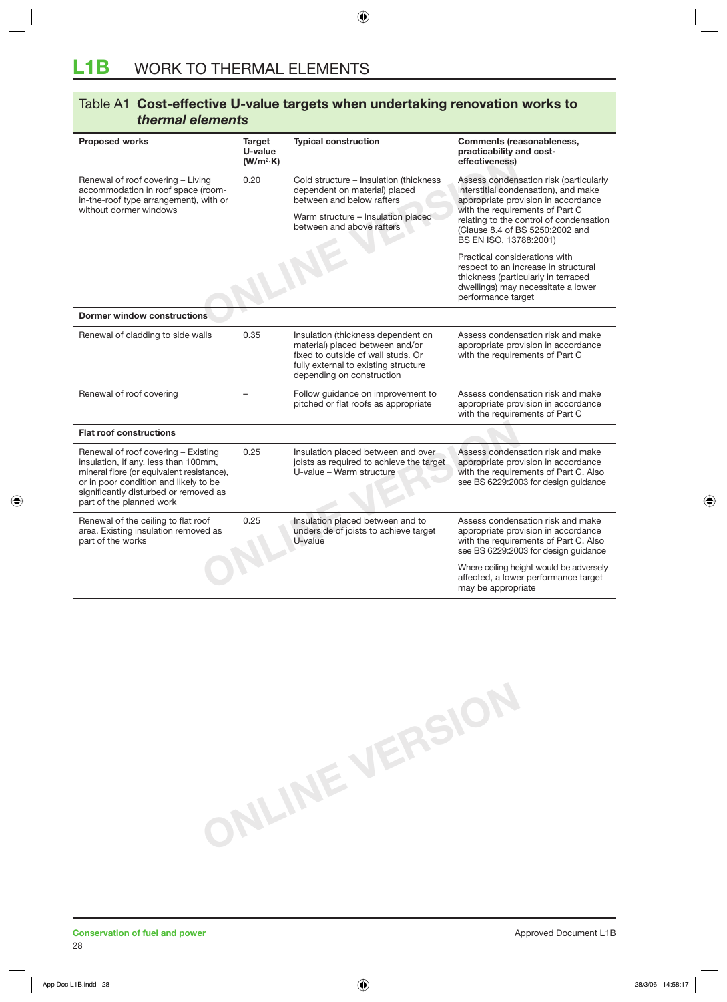| Table A1 Cost-effective U-value targets when undertaking renovation works to |        |                             |                                  |  |
|------------------------------------------------------------------------------|--------|-----------------------------|----------------------------------|--|
| thermal elements                                                             |        |                             |                                  |  |
| <b>Proposed works</b>                                                        | Target | <b>Typical construction</b> | <b>Comments (reasonableness,</b> |  |

|                                                                                                                                                                                                                                        | U-value<br>(W/m <sup>2</sup> ·K) |                                                                                                                                                                                  | practicability and cost-<br>effectiveness)                                                                                                                               |
|----------------------------------------------------------------------------------------------------------------------------------------------------------------------------------------------------------------------------------------|----------------------------------|----------------------------------------------------------------------------------------------------------------------------------------------------------------------------------|--------------------------------------------------------------------------------------------------------------------------------------------------------------------------|
| Renewal of roof covering - Living<br>accommodation in roof space (room-<br>in-the-roof type arrangement), with or<br>without dormer windows                                                                                            | 0.20                             | Cold structure - Insulation (thickness<br>dependent on material) placed<br>between and below rafters                                                                             | Assess condensation risk (particularly<br>interstitial condensation), and make<br>appropriate provision in accordance<br>with the requirements of Part C                 |
|                                                                                                                                                                                                                                        |                                  | Warm structure - Insulation placed<br>between and above rafters                                                                                                                  | relating to the control of condensation<br>(Clause 8.4 of BS 5250:2002 and<br>BS EN ISO, 13788:2001)                                                                     |
|                                                                                                                                                                                                                                        |                                  |                                                                                                                                                                                  | Practical considerations with<br>respect to an increase in structural<br>thickness (particularly in terraced<br>dwellings) may necessitate a lower<br>performance target |
| <b>Dormer window constructions</b>                                                                                                                                                                                                     |                                  |                                                                                                                                                                                  |                                                                                                                                                                          |
| Renewal of cladding to side walls                                                                                                                                                                                                      | 0.35                             | Insulation (thickness dependent on<br>material) placed between and/or<br>fixed to outside of wall studs. Or<br>fully external to existing structure<br>depending on construction | Assess condensation risk and make<br>appropriate provision in accordance<br>with the requirements of Part C                                                              |
| Renewal of roof covering                                                                                                                                                                                                               |                                  | Follow guidance on improvement to<br>pitched or flat roofs as appropriate                                                                                                        | Assess condensation risk and make<br>appropriate provision in accordance<br>with the requirements of Part C                                                              |
| <b>Flat roof constructions</b>                                                                                                                                                                                                         |                                  |                                                                                                                                                                                  |                                                                                                                                                                          |
| Renewal of roof covering - Existing<br>insulation, if any, less than 100mm,<br>mineral fibre (or equivalent resistance),<br>or in poor condition and likely to be<br>significantly disturbed or removed as<br>part of the planned work | 0.25                             | Insulation placed between and over<br>joists as required to achieve the target<br>U-value - Warm structure                                                                       | Assess condensation risk and make<br>appropriate provision in accordance<br>with the requirements of Part C. Also<br>see BS 6229:2003 for design guidance                |
| Renewal of the ceiling to flat roof<br>area. Existing insulation removed as<br>part of the works                                                                                                                                       | 0.25                             | Insulation placed between and to<br>underside of joists to achieve target<br>U-value                                                                                             | Assess condensation risk and make<br>appropriate provision in accordance<br>with the requirements of Part C. Also<br>see BS 6229:2003 for design guidance                |
|                                                                                                                                                                                                                                        |                                  |                                                                                                                                                                                  | Where ceiling height would be adversely<br>affected, a lower performance target<br>may be appropriate                                                                    |

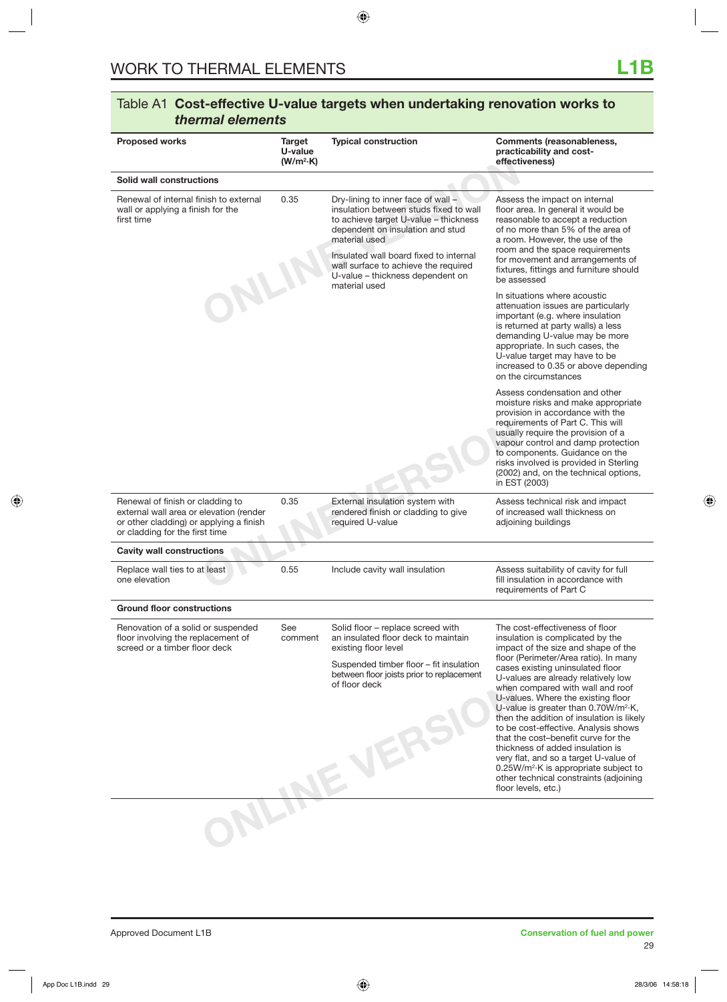| Dry-lining to inner face of wall -<br>insulation between studs fixed to wall<br>to achieve target U-value - thickness<br>dependent on insulation and stud<br>material used<br>Insulated wall board fixed to internal<br>wall surface to achieve the required<br>U-value - thickness dependent on<br>material used<br>External insulation system with | Assess the impact on internal<br>floor area. In general it would be<br>reasonable to accept a reduction<br>of no more than 5% of the area of<br>a room. However, the use of the<br>room and the space requirements<br>for movement and arrangements of<br>fixtures, fittings and furniture should<br>be assessed<br>In situations where acoustic<br>attenuation issues are particularly<br>important (e.g. where insulation<br>is returned at party walls) a less<br>demanding U-value may be more<br>appropriate. In such cases, the<br>U-value target may have to be<br>increased to 0.35 or above depending<br>on the circumstances<br>Assess condensation and other<br>moisture risks and make appropriate<br>provision in accordance with the<br>requirements of Part C. This will<br>usually require the provision of a<br>vapour control and damp protection<br>to components. Guidance on the<br>risks involved is provided in Sterling<br>(2002) and, on the technical options,<br>in EST (2003)<br>Assess technical risk and impact |
|------------------------------------------------------------------------------------------------------------------------------------------------------------------------------------------------------------------------------------------------------------------------------------------------------------------------------------------------------|-----------------------------------------------------------------------------------------------------------------------------------------------------------------------------------------------------------------------------------------------------------------------------------------------------------------------------------------------------------------------------------------------------------------------------------------------------------------------------------------------------------------------------------------------------------------------------------------------------------------------------------------------------------------------------------------------------------------------------------------------------------------------------------------------------------------------------------------------------------------------------------------------------------------------------------------------------------------------------------------------------------------------------------------------|
|                                                                                                                                                                                                                                                                                                                                                      |                                                                                                                                                                                                                                                                                                                                                                                                                                                                                                                                                                                                                                                                                                                                                                                                                                                                                                                                                                                                                                               |
|                                                                                                                                                                                                                                                                                                                                                      |                                                                                                                                                                                                                                                                                                                                                                                                                                                                                                                                                                                                                                                                                                                                                                                                                                                                                                                                                                                                                                               |
|                                                                                                                                                                                                                                                                                                                                                      |                                                                                                                                                                                                                                                                                                                                                                                                                                                                                                                                                                                                                                                                                                                                                                                                                                                                                                                                                                                                                                               |
|                                                                                                                                                                                                                                                                                                                                                      |                                                                                                                                                                                                                                                                                                                                                                                                                                                                                                                                                                                                                                                                                                                                                                                                                                                                                                                                                                                                                                               |
| rendered finish or cladding to give<br>required U-value                                                                                                                                                                                                                                                                                              | of increased wall thickness on<br>adjoining buildings                                                                                                                                                                                                                                                                                                                                                                                                                                                                                                                                                                                                                                                                                                                                                                                                                                                                                                                                                                                         |
|                                                                                                                                                                                                                                                                                                                                                      |                                                                                                                                                                                                                                                                                                                                                                                                                                                                                                                                                                                                                                                                                                                                                                                                                                                                                                                                                                                                                                               |
| Include cavity wall insulation                                                                                                                                                                                                                                                                                                                       | Assess suitability of cavity for full<br>fill insulation in accordance with<br>requirements of Part C                                                                                                                                                                                                                                                                                                                                                                                                                                                                                                                                                                                                                                                                                                                                                                                                                                                                                                                                         |
|                                                                                                                                                                                                                                                                                                                                                      |                                                                                                                                                                                                                                                                                                                                                                                                                                                                                                                                                                                                                                                                                                                                                                                                                                                                                                                                                                                                                                               |
| Solid floor – replace screed with<br>an insulated floor deck to maintain<br>existing floor level<br>Suspended timber floor - fit insulation<br>between floor joists prior to replacement                                                                                                                                                             | The cost-effectiveness of floor<br>insulation is complicated by the<br>impact of the size and shape of the<br>floor (Perimeter/Area ratio). In many<br>cases existing uninsulated floor<br>U-values are already relatively low<br>when compared with wall and roof<br>U-values. Where the existing floor<br>U-value is greater than $0.70W/m^2$ K,<br>then the addition of insulation is likely<br>to be cost-effective. Analysis shows<br>that the cost-benefit curve for the<br>thickness of added insulation is<br>very flat, and so a target U-value of<br>$0.25W/m2·K$ is appropriate subject to<br>other technical constraints (adjoining<br>floor levels, etc.)                                                                                                                                                                                                                                                                                                                                                                        |
|                                                                                                                                                                                                                                                                                                                                                      |                                                                                                                                                                                                                                                                                                                                                                                                                                                                                                                                                                                                                                                                                                                                                                                                                                                                                                                                                                                                                                               |
|                                                                                                                                                                                                                                                                                                                                                      | of floor deck                                                                                                                                                                                                                                                                                                                                                                                                                                                                                                                                                                                                                                                                                                                                                                                                                                                                                                                                                                                                                                 |

### Table A1 **Cost-effective U-value targets when undertaking renovation works to**  *thermal elements*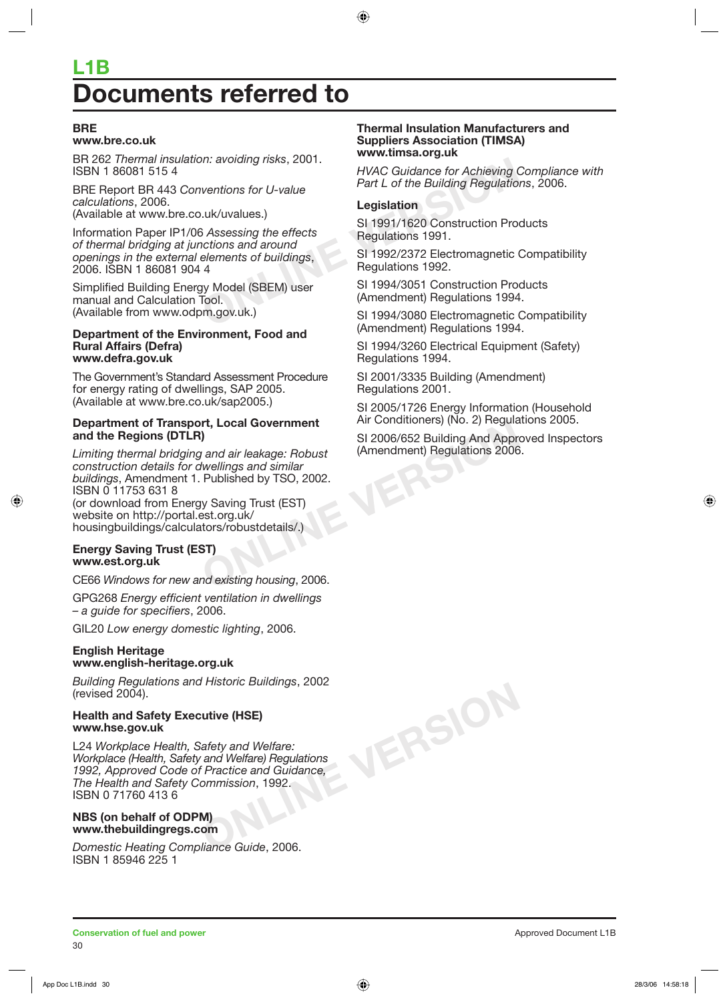# **L1B Documents referred to**

### **BRE**

### **www.bre.co.uk**

BR 262 *Thermal insulation: avoiding risks*, 2001. ISBN 1 86081 515 4

BRE Report BR 443 *Conventions for U-value calculations*, 2006. (Available at www.bre.co.uk/uvalues.)

Fig. 2001.<br>
WAC Guidance for Achieving C<br>
ventions for U-value<br>
Legislation<br>
Legislation<br>
Legislation<br>
SI 1991/1620 Construction Proficions and around<br>
elements of buildings,<br>
SI 1992/2372 Electromagnetic C<br>
Regulations 19 Information Paper IP1/06 *Assessing the effects of thermal bridging at junctions and around openings in the external elements of buildings*, 2006. ISBN 1 86081 904 4

Simplified Building Energy Model (SBEM) user manual and Calculation Tool. (Available from www.odpm.gov.uk.)

### **Department of the Environment, Food and Rural Affairs (Defra) www.defra.gov.uk**

The Government's Standard Assessment Procedure for energy rating of dwellings, SAP 2005. (Available at www.bre.co.uk/sap2005.)

### **Department of Transport, Local Government and the Regions (DTLR)**

**Figure 4.1 Conditioners** (ivo. 2) Regular<br> **ONLINE AIT CONDITIONERS** (ivo. 2) Regular<br> **ONLINE AIT CONCOCTS**<br> *SI* 2006/652 Building And Apprecise SI<br> *Wellings and similar*<br>
Published by TSO, 2002.<br>
We Saving Trust (EST) *Limiting thermal bridging and air leakage: Robust construction details for dwellings and similar buildings*, Amendment 1. Published by TSO, 2002. ISBN 0 11753 631 8 (or download from Energy Saving Trust (EST) website on http://portal.est.org.uk/ housingbuildings/calculators/robustdetails/.)

### **Energy Saving Trust (EST) www.est.org.uk**

CE66 *Windows for new and existing housing*, 2006.

GPG268 *Energy efficient ventilation in dwellings – a guide for specifiers*, 2006.

GIL20 *Low energy domestic lighting*, 2006.

### **English Heritage www.english-heritage.org.uk**

*Building Regulations and Historic Buildings*, 2002 (revised 2004).

### **Health and Safety Executive (HSE) www.hse.gov.uk**

L24 *Workplace Health, Safety and Welfare: Workplace (Health, Safety and Welfare) Regulations 1992, Approved Code of Practice and Guidance, The Health and Safety Commission*, 1992. ISBN 0 71760 413 6

### **NBS (on behalf of ODPM) www.thebuildingregs.com**

*Domestic Heating Compliance Guide*, 2006. ISBN 1 85946 225 1

### **Thermal Insulation Manufacturers and Suppliers Association (TIMSA) www.timsa.org.uk**

*HVAC Guidance for Achieving Compliance with Part L of the Building Regulations*, 2006.

### **Legislation**

SI 1991/1620 Construction Products Regulations 1991.

SI 1992/2372 Electromagnetic Compatibility Regulations 1992.

SI 1994/3051 Construction Products (Amendment) Regulations 1994.

SI 1994/3080 Electromagnetic Compatibility (Amendment) Regulations 1994.

SI 1994/3260 Electrical Equipment (Safety) Regulations 1994.

SI 2001/3335 Building (Amendment) Regulations 2001.

**ONLINE VERSION**

SI 2005/1726 Energy Information (Household Air Conditioners) (No. 2) Regulations 2005.

SI 2006/652 Building And Approved Inspectors (Amendment) Regulations 2006.

30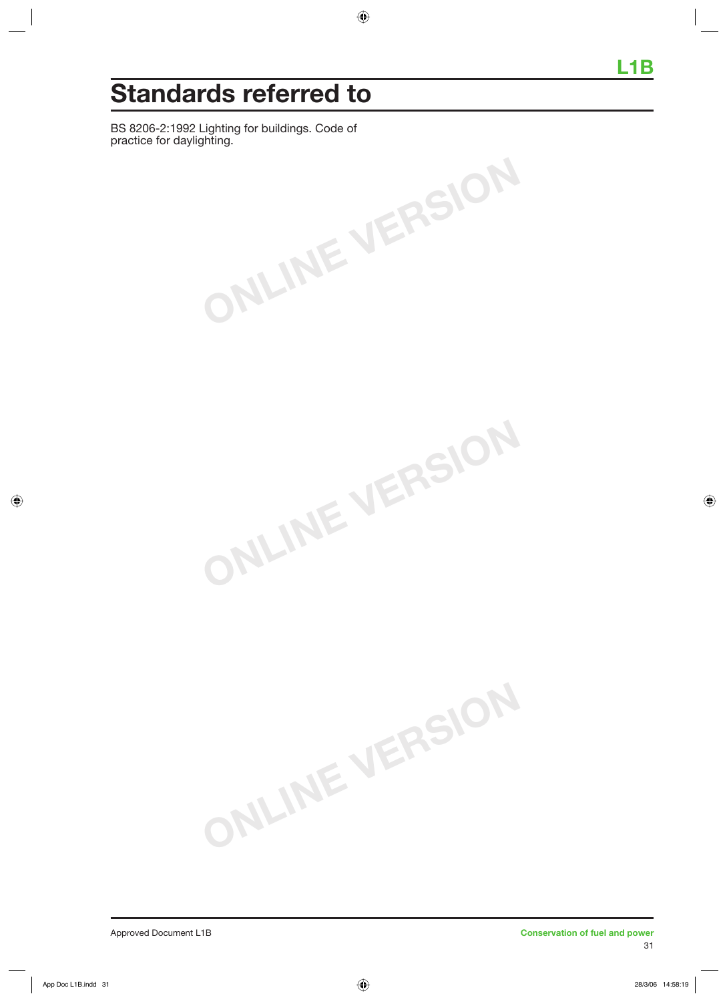# **Standards referred to**

BS 8206-2:1992 Lighting for buildings. Code of practice for daylighting.

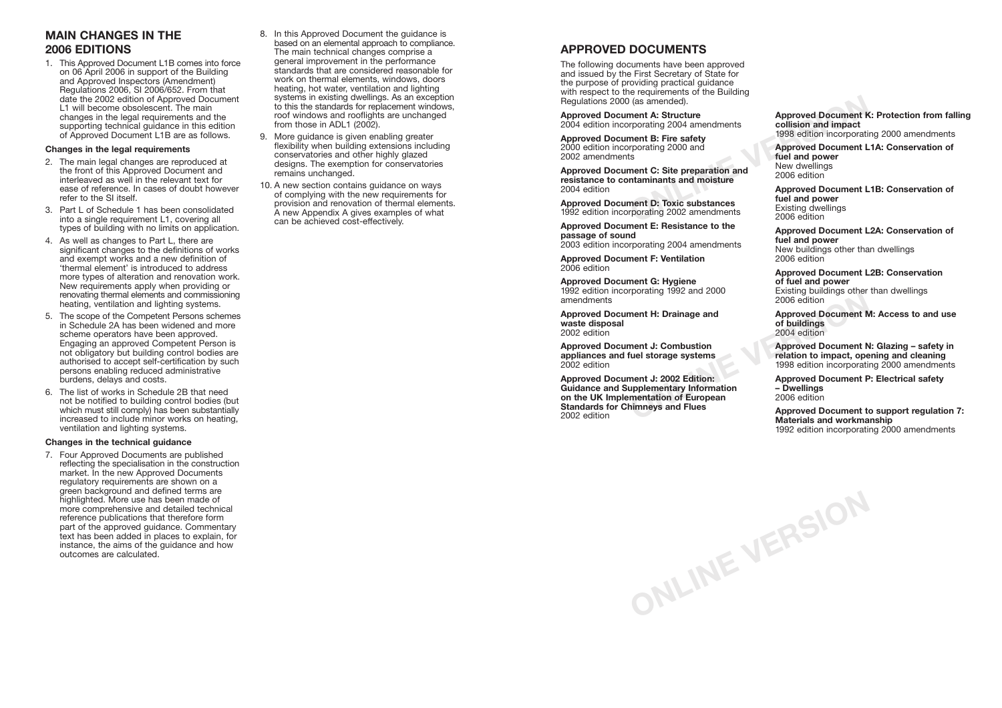## **APPROVED DOCUMENTS**

The following documents have been approved and issued by the First Secretary of State for the purpose of providing practical guidance with respect to the requirements of the Building Regulations 2000 (as amended).

**Approved Document A: Structure** 2004 edition incorporating 2004 amendments

**Approved Document B: Fire safety** 2000 edition incorporating 2000 and 2002 amendments

**Approved Document C: Site preparation and resistance to contaminants and moisture** 2004 edition

**Approved Document D: Toxic substances** 1992 edition incorporating 2002 amendments

**Approved Document E: Resistance to the passage of sound**

2003 edition incorporating 2004 amendments

**Approved Document F: Ventilation** 2006 edition

**Approved Document G: Hygiene** 1992 edition incorporating 1992 and 2000 amendments

**Approved Document H: Drainage and waste disposal** 2002 edition

**Approved Document J: Combustion appliances and fuel storage systems** 2002 edition

Fracting 1992 and 2008<br>
2006 edition<br>
ment H: Drainage and<br> **ONLINE SEARCE 2006** edition<br>
ment J: Combustion<br>
fuel storage systems<br>
fuel storage systems<br>
1998 edition to impact, ope<br>
1998 edition incorporation<br>
ment J: 200 **Approved Document J: 2002 Edition: Guidance and Supplementary Information on the UK Implementation of European Standards for Chimneys and Flues** 2002 edition

**ONLINE VERSION**

**Approved Document K: Protection from falling collision and impact** 1998 edition incorporating 2000 amendments

Fracting 2004 and the state of the state of the state of the state of the state of the state of the state of the state of the state of the state of the state of the state of the state of the state of the state of the state **Approved Document L1A: Conservation of fuel and power** New dwellings 2006 edition

**Approved Document L1B: Conservation of fuel and power** Existing dwellings 2006 edition

**Approved Document L2A: Conservation of fuel and power** New buildings other than dwellings 2006 edition

**Approved Document L2B: Conservation of fuel and power** Existing buildings other than dwellings 2006 edition

**Approved Document M: Access to and use of buildings** 2004 edition

**Approved Document N: Glazing – safety in relation to impact, opening and cleaning** 1998 edition incorporating 2000 amendments

**Approved Document P: Electrical safety – Dwellings** 2006 edition

**Approved Document to support regulation 7: Materials and workmanship** 1992 edition incorporating 2000 amendments